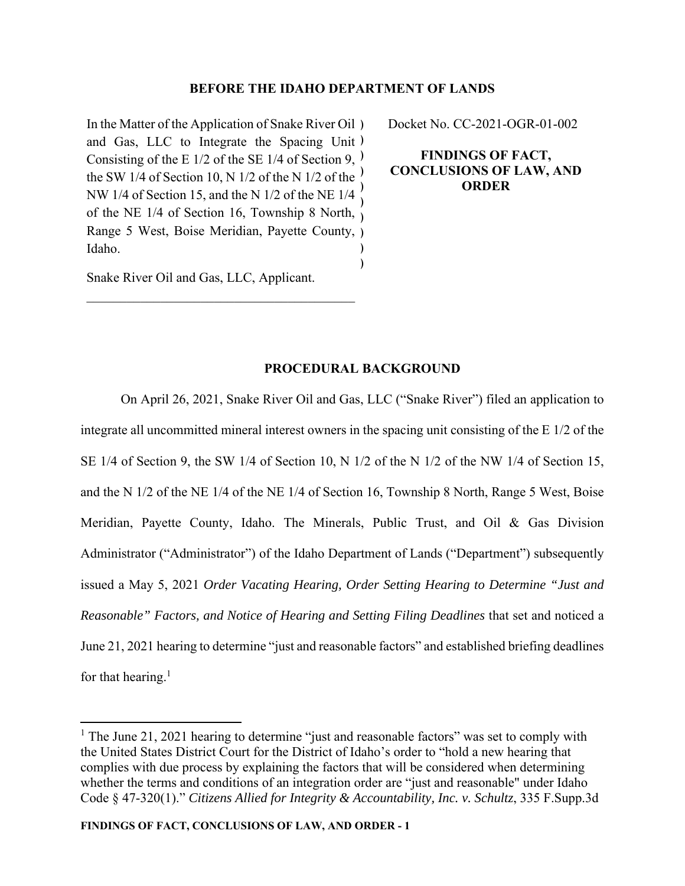# **BEFORE THE IDAHO DEPARTMENT OF LANDS**

In the Matter of the Application of Snake River Oil ) and Gas, LLC to Integrate the Spacing Unit ) Consisting of the E 1/2 of the SE 1/4 of Section 9,  $)$ the SW 1/4 of Section 10, N 1/2 of the N 1/2 of the NW 1/4 of Section 15, and the N 1/2 of the NE 1/4 of the NE 1/4 of Section 16, Township 8 North,  $\gamma$ Range 5 West, Boise Meridian, Payette County, ) Idaho. ) ) ) ) ) Docket No. CC-2021-OGR-01-002

**FINDINGS OF FACT, CONCLUSIONS OF LAW, AND ORDER** 

Snake River Oil and Gas, LLC, Applicant.

# **PROCEDURAL BACKGROUND**

On April 26, 2021, Snake River Oil and Gas, LLC ("Snake River") filed an application to integrate all uncommitted mineral interest owners in the spacing unit consisting of the E 1/2 of the SE 1/4 of Section 9, the SW 1/4 of Section 10, N 1/2 of the N 1/2 of the NW 1/4 of Section 15, and the N 1/2 of the NE 1/4 of the NE 1/4 of Section 16, Township 8 North, Range 5 West, Boise Meridian, Payette County, Idaho. The Minerals, Public Trust, and Oil & Gas Division Administrator ("Administrator") of the Idaho Department of Lands ("Department") subsequently issued a May 5, 2021 *Order Vacating Hearing, Order Setting Hearing to Determine "Just and Reasonable" Factors, and Notice of Hearing and Setting Filing Deadlines* that set and noticed a June 21, 2021 hearing to determine "just and reasonable factors" and established briefing deadlines for that hearing.<sup>1</sup>

<sup>&</sup>lt;sup>1</sup> The June 21, 2021 hearing to determine "just and reasonable factors" was set to comply with the United States District Court for the District of Idaho's order to "hold a new hearing that complies with due process by explaining the factors that will be considered when determining whether the terms and conditions of an integration order are "just and reasonable" under Idaho Code § 47-320(1)." *Citizens Allied for Integrity & Accountability, Inc. v. Schultz*, 335 F.Supp.3d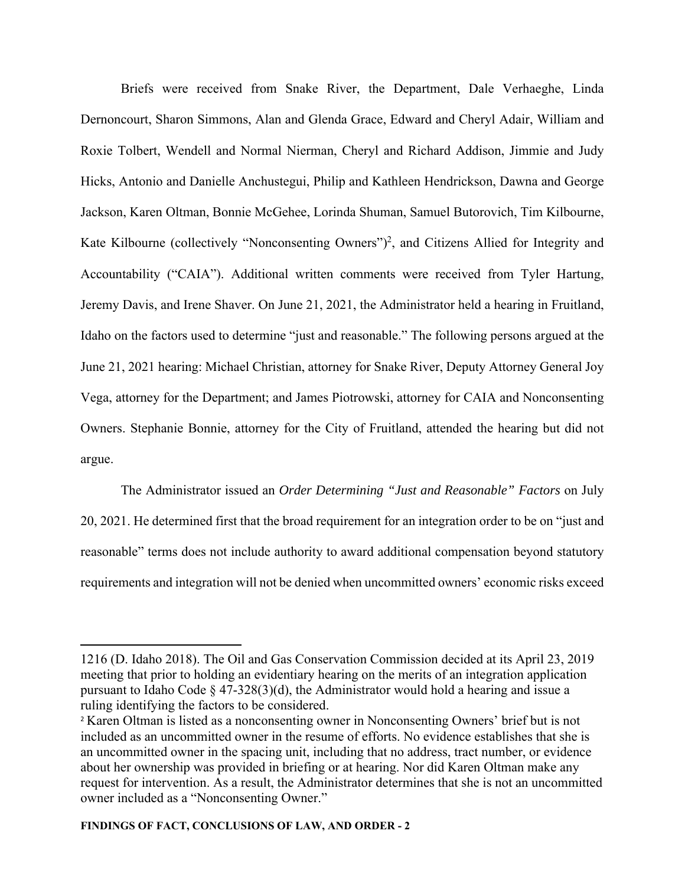Briefs were received from Snake River, the Department, Dale Verhaeghe, Linda Dernoncourt, Sharon Simmons, Alan and Glenda Grace, Edward and Cheryl Adair, William and Roxie Tolbert, Wendell and Normal Nierman, Cheryl and Richard Addison, Jimmie and Judy Hicks, Antonio and Danielle Anchustegui, Philip and Kathleen Hendrickson, Dawna and George Jackson, Karen Oltman, Bonnie McGehee, Lorinda Shuman, Samuel Butorovich, Tim Kilbourne, Kate Kilbourne (collectively "Nonconsenting Owners")<sup>2</sup>, and Citizens Allied for Integrity and Accountability ("CAIA"). Additional written comments were received from Tyler Hartung, Jeremy Davis, and Irene Shaver. On June 21, 2021, the Administrator held a hearing in Fruitland, Idaho on the factors used to determine "just and reasonable." The following persons argued at the June 21, 2021 hearing: Michael Christian, attorney for Snake River, Deputy Attorney General Joy Vega, attorney for the Department; and James Piotrowski, attorney for CAIA and Nonconsenting Owners. Stephanie Bonnie, attorney for the City of Fruitland, attended the hearing but did not argue.

The Administrator issued an *Order Determining "Just and Reasonable" Factors* on July 20, 2021. He determined first that the broad requirement for an integration order to be on "just and reasonable" terms does not include authority to award additional compensation beyond statutory requirements and integration will not be denied when uncommitted owners' economic risks exceed

<sup>1216 (</sup>D. Idaho 2018). The Oil and Gas Conservation Commission decided at its April 23, 2019 meeting that prior to holding an evidentiary hearing on the merits of an integration application pursuant to Idaho Code § 47-328(3)(d), the Administrator would hold a hearing and issue a ruling identifying the factors to be considered.

<sup>2</sup> Karen Oltman is listed as a nonconsenting owner in Nonconsenting Owners' brief but is not included as an uncommitted owner in the resume of efforts. No evidence establishes that she is an uncommitted owner in the spacing unit, including that no address, tract number, or evidence about her ownership was provided in briefing or at hearing. Nor did Karen Oltman make any request for intervention. As a result, the Administrator determines that she is not an uncommitted owner included as a "Nonconsenting Owner."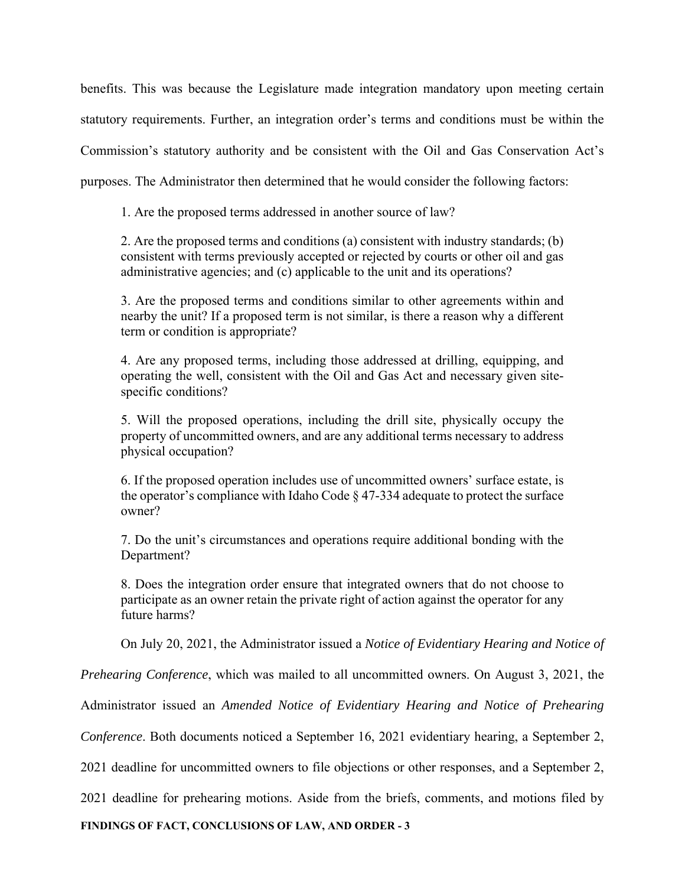benefits. This was because the Legislature made integration mandatory upon meeting certain statutory requirements. Further, an integration order's terms and conditions must be within the Commission's statutory authority and be consistent with the Oil and Gas Conservation Act's purposes. The Administrator then determined that he would consider the following factors:

1. Are the proposed terms addressed in another source of law?

2. Are the proposed terms and conditions (a) consistent with industry standards; (b) consistent with terms previously accepted or rejected by courts or other oil and gas administrative agencies; and (c) applicable to the unit and its operations?

3. Are the proposed terms and conditions similar to other agreements within and nearby the unit? If a proposed term is not similar, is there a reason why a different term or condition is appropriate?

4. Are any proposed terms, including those addressed at drilling, equipping, and operating the well, consistent with the Oil and Gas Act and necessary given sitespecific conditions?

5. Will the proposed operations, including the drill site, physically occupy the property of uncommitted owners, and are any additional terms necessary to address physical occupation?

6. If the proposed operation includes use of uncommitted owners' surface estate, is the operator's compliance with Idaho Code  $\S 47-334$  adequate to protect the surface owner?

7. Do the unit's circumstances and operations require additional bonding with the Department?

8. Does the integration order ensure that integrated owners that do not choose to participate as an owner retain the private right of action against the operator for any future harms?

On July 20, 2021, the Administrator issued a *Notice of Evidentiary Hearing and Notice of* 

*Prehearing Conference*, which was mailed to all uncommitted owners. On August 3, 2021, the

Administrator issued an *Amended Notice of Evidentiary Hearing and Notice of Prehearing* 

*Conference*. Both documents noticed a September 16, 2021 evidentiary hearing, a September 2,

2021 deadline for uncommitted owners to file objections or other responses, and a September 2,

2021 deadline for prehearing motions. Aside from the briefs, comments, and motions filed by

**FINDINGS OF FACT, CONCLUSIONS OF LAW, AND ORDER - 3**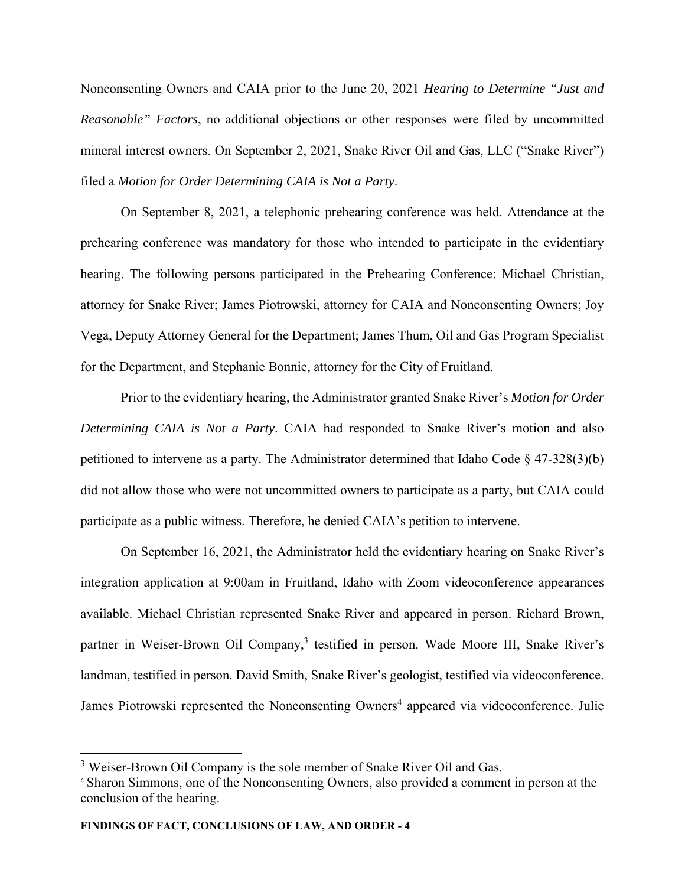Nonconsenting Owners and CAIA prior to the June 20, 2021 *Hearing to Determine "Just and Reasonable" Factors*, no additional objections or other responses were filed by uncommitted mineral interest owners. On September 2, 2021, Snake River Oil and Gas, LLC ("Snake River") filed a *Motion for Order Determining CAIA is Not a Party*.

On September 8, 2021, a telephonic prehearing conference was held. Attendance at the prehearing conference was mandatory for those who intended to participate in the evidentiary hearing. The following persons participated in the Prehearing Conference: Michael Christian, attorney for Snake River; James Piotrowski, attorney for CAIA and Nonconsenting Owners; Joy Vega, Deputy Attorney General for the Department; James Thum, Oil and Gas Program Specialist for the Department, and Stephanie Bonnie, attorney for the City of Fruitland.

Prior to the evidentiary hearing, the Administrator granted Snake River's *Motion for Order Determining CAIA is Not a Party*. CAIA had responded to Snake River's motion and also petitioned to intervene as a party. The Administrator determined that Idaho Code § 47-328(3)(b) did not allow those who were not uncommitted owners to participate as a party, but CAIA could participate as a public witness. Therefore, he denied CAIA's petition to intervene.

On September 16, 2021, the Administrator held the evidentiary hearing on Snake River's integration application at 9:00am in Fruitland, Idaho with Zoom videoconference appearances available. Michael Christian represented Snake River and appeared in person. Richard Brown, partner in Weiser-Brown Oil Company,<sup>3</sup> testified in person. Wade Moore III, Snake River's landman, testified in person. David Smith, Snake River's geologist, testified via videoconference. James Piotrowski represented the Nonconsenting Owners<sup>4</sup> appeared via videoconference. Julie

<sup>&</sup>lt;sup>3</sup> Weiser-Brown Oil Company is the sole member of Snake River Oil and Gas.

<sup>4</sup> Sharon Simmons, one of the Nonconsenting Owners, also provided a comment in person at the conclusion of the hearing.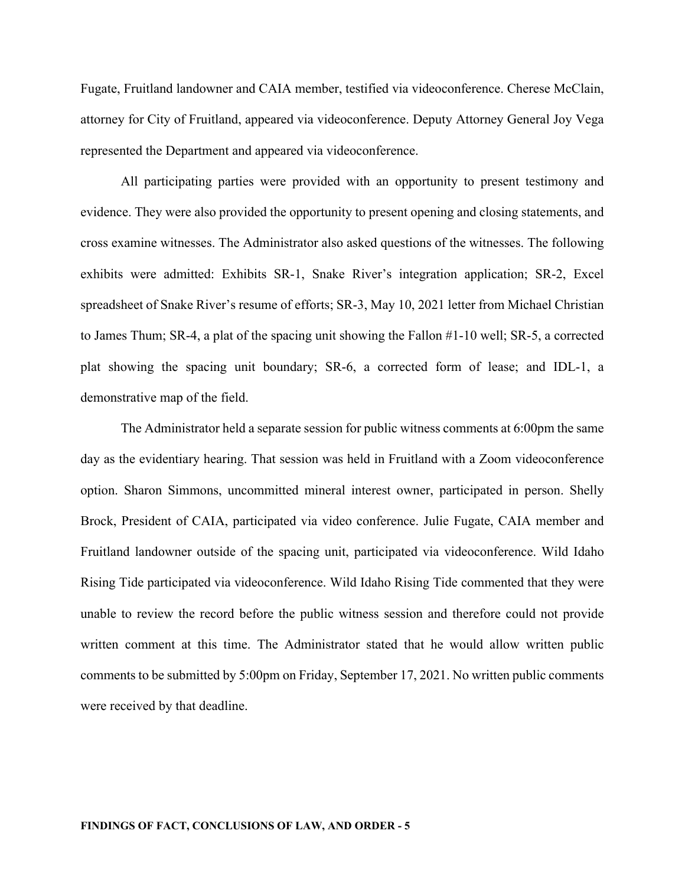Fugate, Fruitland landowner and CAIA member, testified via videoconference. Cherese McClain, attorney for City of Fruitland, appeared via videoconference. Deputy Attorney General Joy Vega represented the Department and appeared via videoconference.

All participating parties were provided with an opportunity to present testimony and evidence. They were also provided the opportunity to present opening and closing statements, and cross examine witnesses. The Administrator also asked questions of the witnesses. The following exhibits were admitted: Exhibits SR-1, Snake River's integration application; SR-2, Excel spreadsheet of Snake River's resume of efforts; SR-3, May 10, 2021 letter from Michael Christian to James Thum; SR-4, a plat of the spacing unit showing the Fallon #1-10 well; SR-5, a corrected plat showing the spacing unit boundary; SR-6, a corrected form of lease; and IDL-1, a demonstrative map of the field.

The Administrator held a separate session for public witness comments at 6:00pm the same day as the evidentiary hearing. That session was held in Fruitland with a Zoom videoconference option. Sharon Simmons, uncommitted mineral interest owner, participated in person. Shelly Brock, President of CAIA, participated via video conference. Julie Fugate, CAIA member and Fruitland landowner outside of the spacing unit, participated via videoconference. Wild Idaho Rising Tide participated via videoconference. Wild Idaho Rising Tide commented that they were unable to review the record before the public witness session and therefore could not provide written comment at this time. The Administrator stated that he would allow written public comments to be submitted by 5:00pm on Friday, September 17, 2021. No written public comments were received by that deadline.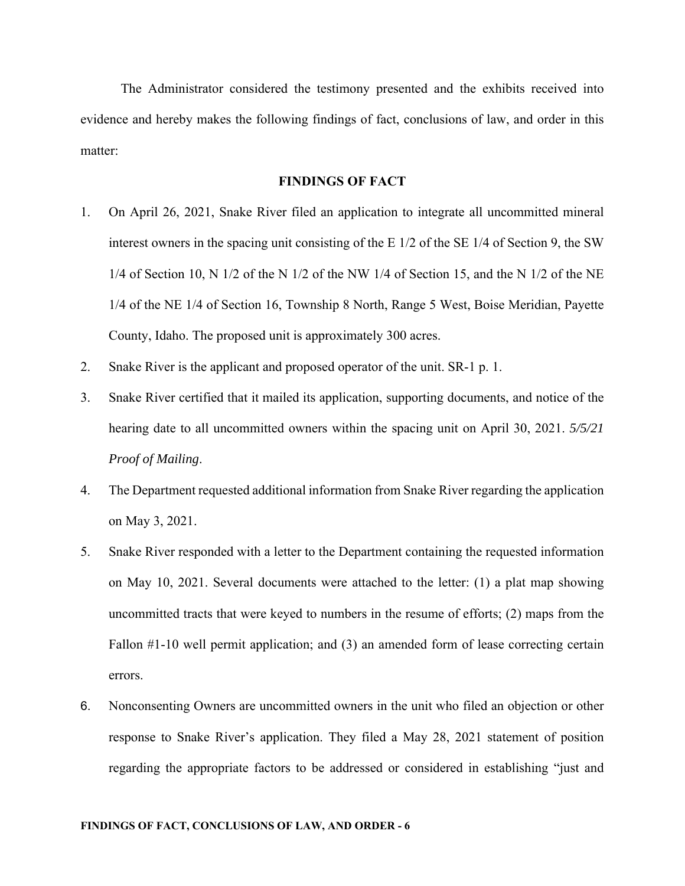The Administrator considered the testimony presented and the exhibits received into evidence and hereby makes the following findings of fact, conclusions of law, and order in this matter:

## **FINDINGS OF FACT**

- 1. On April 26, 2021, Snake River filed an application to integrate all uncommitted mineral interest owners in the spacing unit consisting of the E 1/2 of the SE 1/4 of Section 9, the SW  $1/4$  of Section 10, N  $1/2$  of the N  $1/2$  of the NW  $1/4$  of Section 15, and the N  $1/2$  of the NE 1/4 of the NE 1/4 of Section 16, Township 8 North, Range 5 West, Boise Meridian, Payette County, Idaho. The proposed unit is approximately 300 acres.
- 2. Snake River is the applicant and proposed operator of the unit. SR-1 p. 1.
- 3. Snake River certified that it mailed its application, supporting documents, and notice of the hearing date to all uncommitted owners within the spacing unit on April 30, 2021. *5/5/21 Proof of Mailing*.
- 4. The Department requested additional information from Snake River regarding the application on May 3, 2021.
- 5. Snake River responded with a letter to the Department containing the requested information on May 10, 2021. Several documents were attached to the letter: (1) a plat map showing uncommitted tracts that were keyed to numbers in the resume of efforts; (2) maps from the Fallon #1-10 well permit application; and (3) an amended form of lease correcting certain errors.
- 6. Nonconsenting Owners are uncommitted owners in the unit who filed an objection or other response to Snake River's application. They filed a May 28, 2021 statement of position regarding the appropriate factors to be addressed or considered in establishing "just and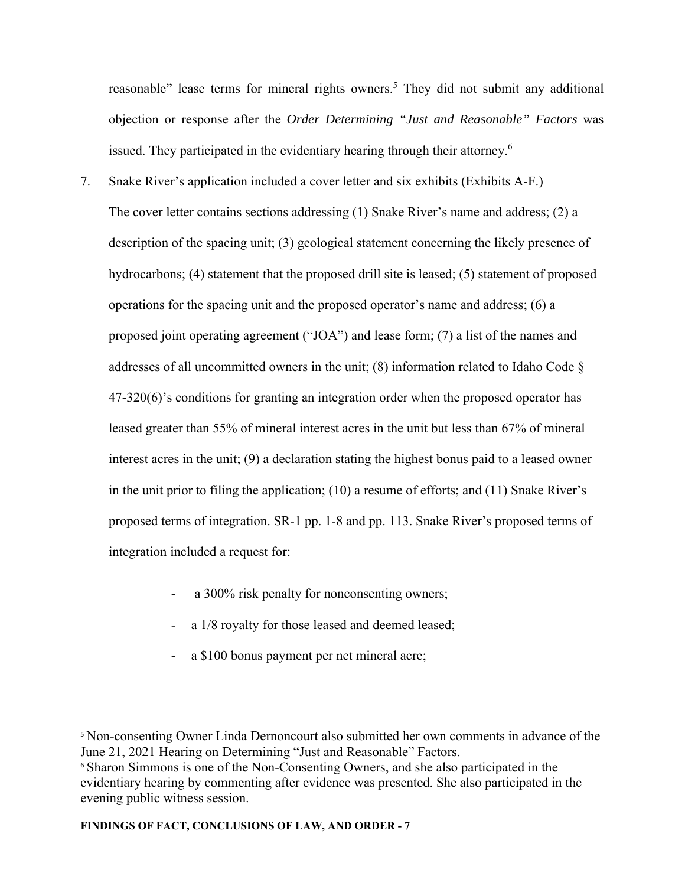reasonable" lease terms for mineral rights owners.<sup>5</sup> They did not submit any additional objection or response after the *Order Determining "Just and Reasonable" Factors* was issued. They participated in the evidentiary hearing through their attorney.<sup>6</sup>

- 7. Snake River's application included a cover letter and six exhibits (Exhibits A-F.) The cover letter contains sections addressing (1) Snake River's name and address; (2) a description of the spacing unit; (3) geological statement concerning the likely presence of hydrocarbons; (4) statement that the proposed drill site is leased; (5) statement of proposed operations for the spacing unit and the proposed operator's name and address; (6) a proposed joint operating agreement ("JOA") and lease form; (7) a list of the names and addresses of all uncommitted owners in the unit; (8) information related to Idaho Code § 47-320(6)'s conditions for granting an integration order when the proposed operator has leased greater than 55% of mineral interest acres in the unit but less than 67% of mineral interest acres in the unit; (9) a declaration stating the highest bonus paid to a leased owner in the unit prior to filing the application; (10) a resume of efforts; and (11) Snake River's proposed terms of integration. SR-1 pp. 1-8 and pp. 113. Snake River's proposed terms of integration included a request for:
	- a 300% risk penalty for nonconsenting owners;
	- a  $1/8$  royalty for those leased and deemed leased;
	- a \$100 bonus payment per net mineral acre;

<sup>5</sup> Non-consenting Owner Linda Dernoncourt also submitted her own comments in advance of the June 21, 2021 Hearing on Determining "Just and Reasonable" Factors.

<sup>&</sup>lt;sup>6</sup> Sharon Simmons is one of the Non-Consenting Owners, and she also participated in the evidentiary hearing by commenting after evidence was presented. She also participated in the evening public witness session.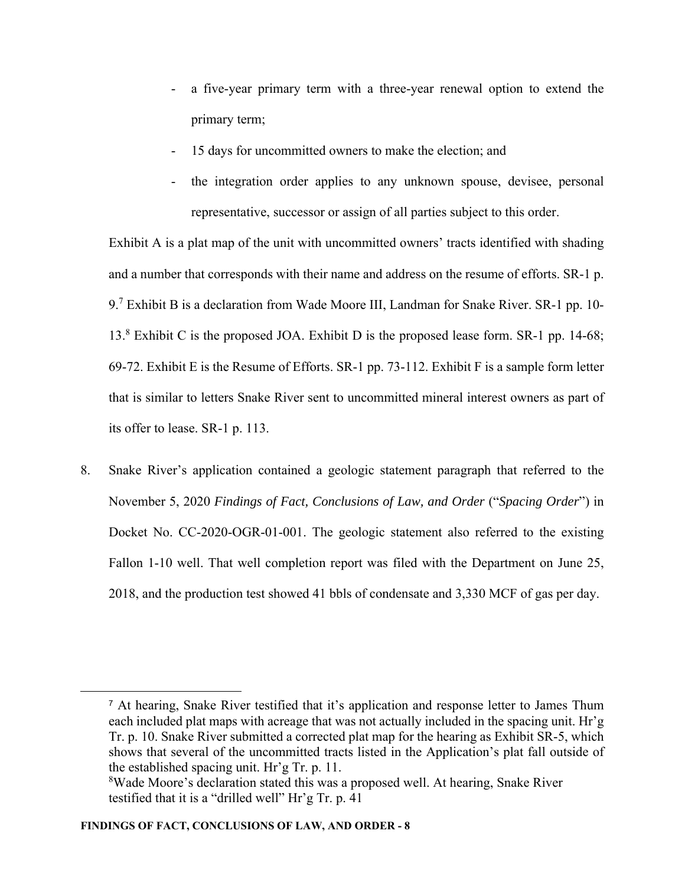- a five-year primary term with a three-year renewal option to extend the primary term;
- 15 days for uncommitted owners to make the election; and
- the integration order applies to any unknown spouse, devisee, personal representative, successor or assign of all parties subject to this order.

Exhibit A is a plat map of the unit with uncommitted owners' tracts identified with shading and a number that corresponds with their name and address on the resume of efforts. SR-1 p. 9.<sup>7</sup> Exhibit B is a declaration from Wade Moore III, Landman for Snake River. SR-1 pp. 10-13.8 Exhibit C is the proposed JOA. Exhibit D is the proposed lease form. SR-1 pp. 14-68; 69-72. Exhibit E is the Resume of Efforts. SR-1 pp. 73-112. Exhibit F is a sample form letter that is similar to letters Snake River sent to uncommitted mineral interest owners as part of its offer to lease. SR-1 p. 113.

8. Snake River's application contained a geologic statement paragraph that referred to the November 5, 2020 *Findings of Fact, Conclusions of Law, and Order* ("*Spacing Order*") in Docket No. CC-2020-OGR-01-001. The geologic statement also referred to the existing Fallon 1-10 well. That well completion report was filed with the Department on June 25, 2018, and the production test showed 41 bbls of condensate and 3,330 MCF of gas per day.

<sup>7</sup> At hearing, Snake River testified that it's application and response letter to James Thum each included plat maps with acreage that was not actually included in the spacing unit. Hr'g Tr. p. 10. Snake River submitted a corrected plat map for the hearing as Exhibit SR-5, which shows that several of the uncommitted tracts listed in the Application's plat fall outside of the established spacing unit. Hr'g Tr. p. 11.

<sup>&</sup>lt;sup>8</sup>Wade Moore's declaration stated this was a proposed well. At hearing, Snake River testified that it is a "drilled well" Hr'g Tr. p. 41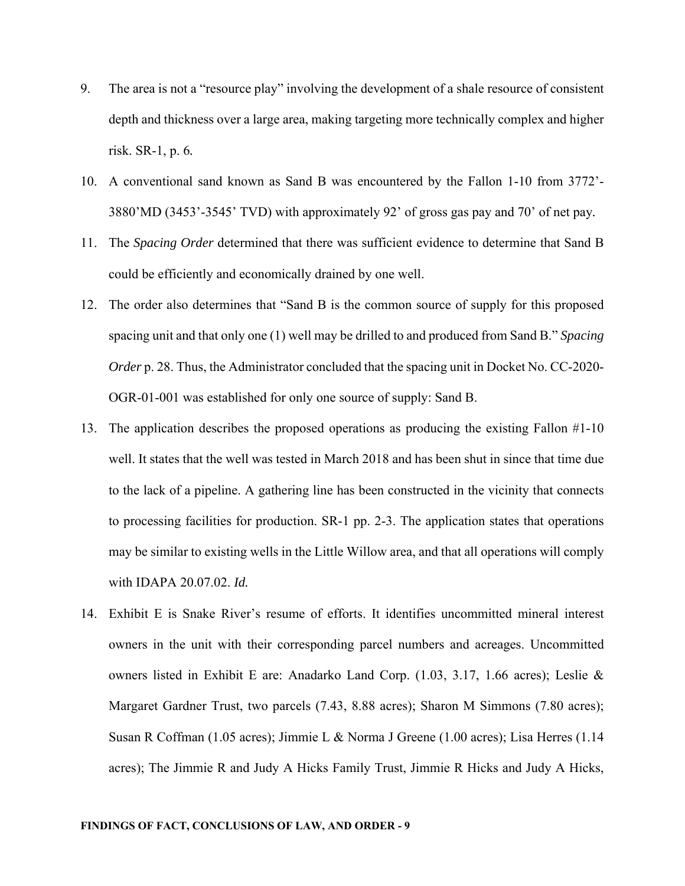- 9. The area is not a "resource play" involving the development of a shale resource of consistent depth and thickness over a large area, making targeting more technically complex and higher risk. SR-1, p. 6*.*
- 10. A conventional sand known as Sand B was encountered by the Fallon 1-10 from 3772'- 3880'MD (3453'-3545' TVD) with approximately 92' of gross gas pay and 70' of net pay*.*
- 11. The *Spacing Order* determined that there was sufficient evidence to determine that Sand B could be efficiently and economically drained by one well.
- 12. The order also determines that "Sand B is the common source of supply for this proposed spacing unit and that only one (1) well may be drilled to and produced from Sand B." *Spacing Order* p. 28. Thus, the Administrator concluded that the spacing unit in Docket No. CC-2020-OGR-01-001 was established for only one source of supply: Sand B.
- 13. The application describes the proposed operations as producing the existing Fallon #1-10 well. It states that the well was tested in March 2018 and has been shut in since that time due to the lack of a pipeline. A gathering line has been constructed in the vicinity that connects to processing facilities for production. SR-1 pp. 2-3. The application states that operations may be similar to existing wells in the Little Willow area, and that all operations will comply with IDAPA 20.07.02. *Id.*
- 14. Exhibit E is Snake River's resume of efforts. It identifies uncommitted mineral interest owners in the unit with their corresponding parcel numbers and acreages. Uncommitted owners listed in Exhibit E are: Anadarko Land Corp. (1.03, 3.17, 1.66 acres); Leslie & Margaret Gardner Trust, two parcels (7.43, 8.88 acres); Sharon M Simmons (7.80 acres); Susan R Coffman (1.05 acres); Jimmie L & Norma J Greene (1.00 acres); Lisa Herres (1.14 acres); The Jimmie R and Judy A Hicks Family Trust, Jimmie R Hicks and Judy A Hicks,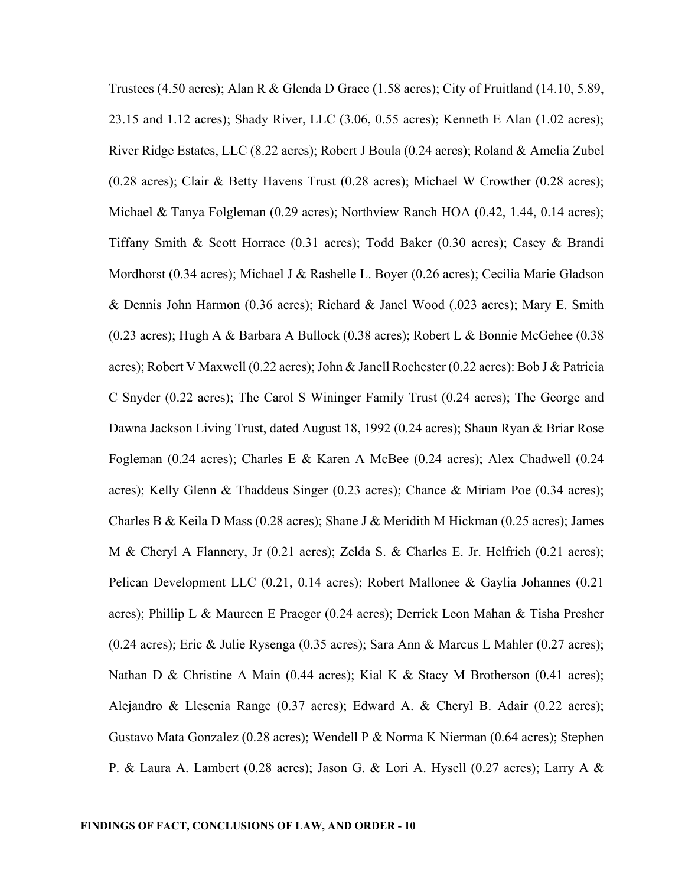Trustees (4.50 acres); Alan R & Glenda D Grace (1.58 acres); City of Fruitland (14.10, 5.89, 23.15 and 1.12 acres); Shady River, LLC (3.06, 0.55 acres); Kenneth E Alan (1.02 acres); River Ridge Estates, LLC (8.22 acres); Robert J Boula (0.24 acres); Roland & Amelia Zubel (0.28 acres); Clair & Betty Havens Trust (0.28 acres); Michael W Crowther (0.28 acres); Michael & Tanya Folgleman (0.29 acres); Northview Ranch HOA (0.42, 1.44, 0.14 acres); Tiffany Smith & Scott Horrace (0.31 acres); Todd Baker (0.30 acres); Casey & Brandi Mordhorst (0.34 acres); Michael J & Rashelle L. Boyer (0.26 acres); Cecilia Marie Gladson & Dennis John Harmon (0.36 acres); Richard & Janel Wood (.023 acres); Mary E. Smith (0.23 acres); Hugh A & Barbara A Bullock (0.38 acres); Robert L & Bonnie McGehee (0.38 acres); Robert V Maxwell (0.22 acres); John & Janell Rochester (0.22 acres): Bob J & Patricia C Snyder (0.22 acres); The Carol S Wininger Family Trust (0.24 acres); The George and Dawna Jackson Living Trust, dated August 18, 1992 (0.24 acres); Shaun Ryan & Briar Rose Fogleman (0.24 acres); Charles E & Karen A McBee (0.24 acres); Alex Chadwell (0.24 acres); Kelly Glenn & Thaddeus Singer (0.23 acres); Chance & Miriam Poe (0.34 acres); Charles B & Keila D Mass (0.28 acres); Shane J & Meridith M Hickman (0.25 acres); James M & Cheryl A Flannery, Jr (0.21 acres); Zelda S. & Charles E. Jr. Helfrich (0.21 acres); Pelican Development LLC (0.21, 0.14 acres); Robert Mallonee & Gaylia Johannes (0.21 acres); Phillip L & Maureen E Praeger (0.24 acres); Derrick Leon Mahan & Tisha Presher (0.24 acres); Eric & Julie Rysenga (0.35 acres); Sara Ann & Marcus L Mahler (0.27 acres); Nathan D & Christine A Main (0.44 acres); Kial K & Stacy M Brotherson (0.41 acres); Alejandro & Llesenia Range (0.37 acres); Edward A. & Cheryl B. Adair (0.22 acres); Gustavo Mata Gonzalez (0.28 acres); Wendell P & Norma K Nierman (0.64 acres); Stephen P. & Laura A. Lambert (0.28 acres); Jason G. & Lori A. Hysell (0.27 acres); Larry A &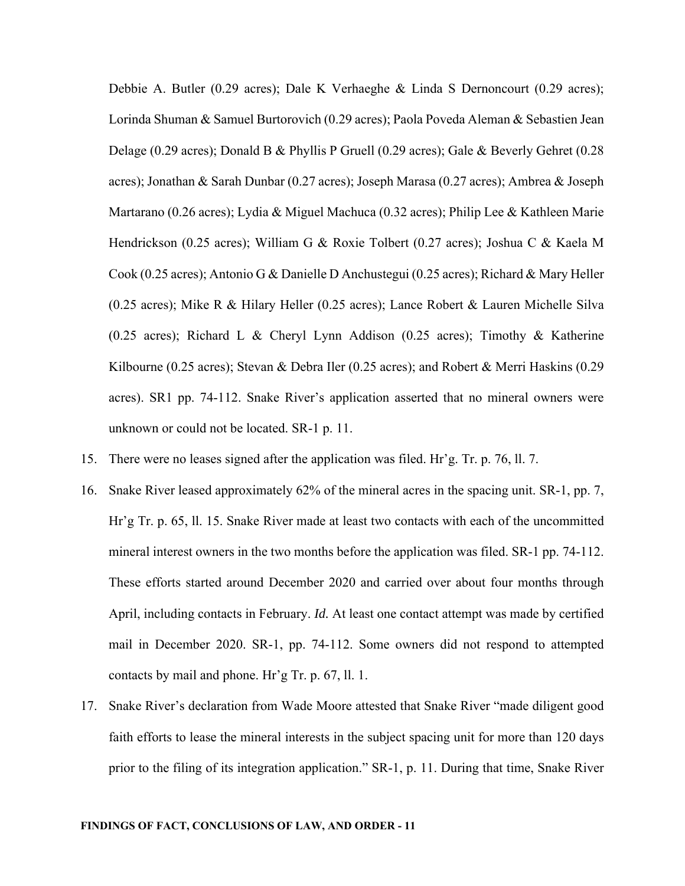Debbie A. Butler (0.29 acres); Dale K Verhaeghe & Linda S Dernoncourt (0.29 acres); Lorinda Shuman & Samuel Burtorovich (0.29 acres); Paola Poveda Aleman & Sebastien Jean Delage (0.29 acres); Donald B & Phyllis P Gruell (0.29 acres); Gale & Beverly Gehret (0.28 acres); Jonathan & Sarah Dunbar (0.27 acres); Joseph Marasa (0.27 acres); Ambrea & Joseph Martarano (0.26 acres); Lydia & Miguel Machuca (0.32 acres); Philip Lee & Kathleen Marie Hendrickson (0.25 acres); William G & Roxie Tolbert (0.27 acres); Joshua C & Kaela M Cook (0.25 acres); Antonio G & Danielle D Anchustegui (0.25 acres); Richard & Mary Heller (0.25 acres); Mike R & Hilary Heller (0.25 acres); Lance Robert & Lauren Michelle Silva (0.25 acres); Richard L & Cheryl Lynn Addison (0.25 acres); Timothy & Katherine Kilbourne (0.25 acres); Stevan & Debra Iler (0.25 acres); and Robert & Merri Haskins (0.29 acres). SR1 pp. 74-112. Snake River's application asserted that no mineral owners were unknown or could not be located. SR-1 p. 11.

- 15. There were no leases signed after the application was filed. Hr'g. Tr. p. 76, ll. 7.
- 16. Snake River leased approximately 62% of the mineral acres in the spacing unit. SR-1, pp. 7, Hr'g Tr. p. 65, ll. 15. Snake River made at least two contacts with each of the uncommitted mineral interest owners in the two months before the application was filed. SR-1 pp. 74-112. These efforts started around December 2020 and carried over about four months through April, including contacts in February. *Id.* At least one contact attempt was made by certified mail in December 2020. SR-1, pp. 74-112. Some owners did not respond to attempted contacts by mail and phone. Hr'g Tr. p. 67, ll. 1.
- 17. Snake River's declaration from Wade Moore attested that Snake River "made diligent good faith efforts to lease the mineral interests in the subject spacing unit for more than 120 days prior to the filing of its integration application." SR-1, p. 11. During that time, Snake River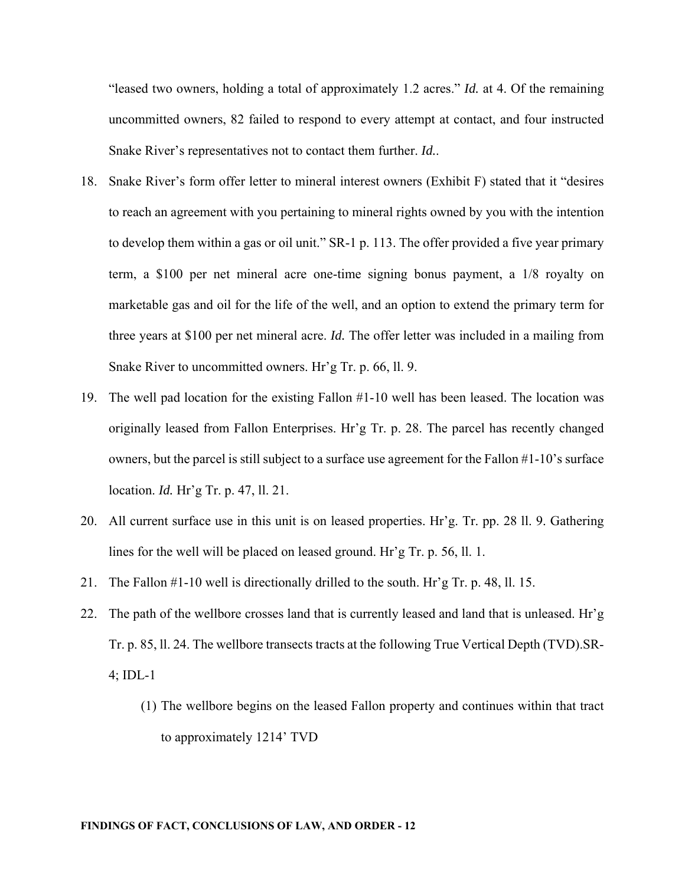"leased two owners, holding a total of approximately 1.2 acres." *Id.* at 4. Of the remaining uncommitted owners, 82 failed to respond to every attempt at contact, and four instructed Snake River's representatives not to contact them further. *Id.*.

- 18. Snake River's form offer letter to mineral interest owners (Exhibit F) stated that it "desires to reach an agreement with you pertaining to mineral rights owned by you with the intention to develop them within a gas or oil unit." SR-1 p. 113. The offer provided a five year primary term, a \$100 per net mineral acre one-time signing bonus payment, a 1/8 royalty on marketable gas and oil for the life of the well, and an option to extend the primary term for three years at \$100 per net mineral acre. *Id.* The offer letter was included in a mailing from Snake River to uncommitted owners. Hr'g Tr. p. 66, ll. 9.
- 19. The well pad location for the existing Fallon #1-10 well has been leased. The location was originally leased from Fallon Enterprises. Hr'g Tr. p. 28. The parcel has recently changed owners, but the parcel is still subject to a surface use agreement for the Fallon #1-10's surface location. *Id.* Hr'g Tr. p. 47, ll. 21.
- 20. All current surface use in this unit is on leased properties. Hr'g. Tr. pp. 28 ll. 9. Gathering lines for the well will be placed on leased ground. Hr'g Tr. p. 56, ll. 1.
- 21. The Fallon #1-10 well is directionally drilled to the south. Hr'g Tr. p. 48, ll. 15.
- 22. The path of the wellbore crosses land that is currently leased and land that is unleased. Hr'g Tr. p. 85, ll. 24. The wellbore transects tracts at the following True Vertical Depth (TVD).SR-4; IDL-1
	- (1) The wellbore begins on the leased Fallon property and continues within that tract to approximately 1214' TVD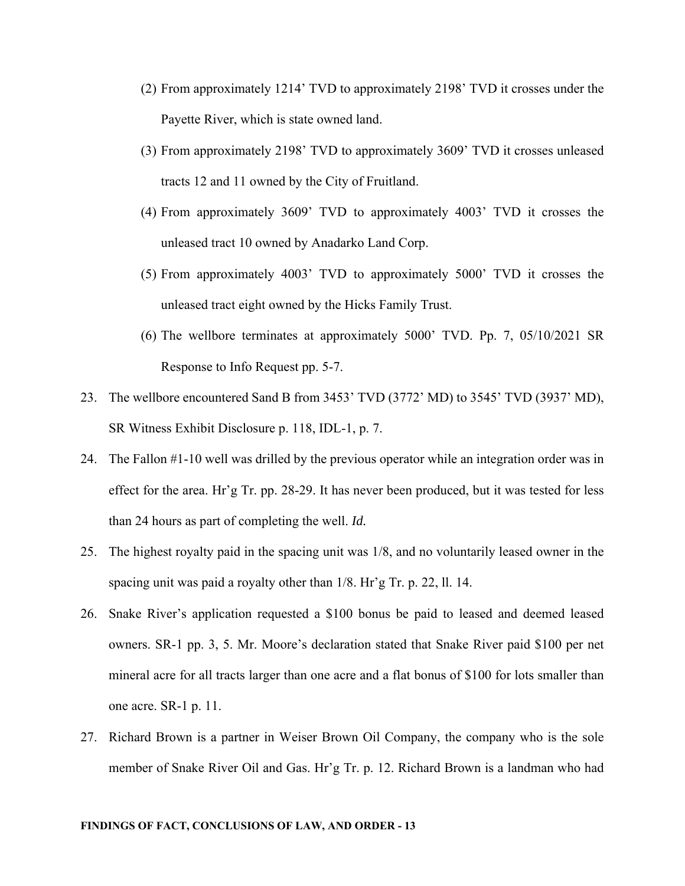- (2) From approximately 1214' TVD to approximately 2198' TVD it crosses under the Payette River, which is state owned land.
- (3) From approximately 2198' TVD to approximately 3609' TVD it crosses unleased tracts 12 and 11 owned by the City of Fruitland.
- (4) From approximately 3609' TVD to approximately 4003' TVD it crosses the unleased tract 10 owned by Anadarko Land Corp.
- (5) From approximately 4003' TVD to approximately 5000' TVD it crosses the unleased tract eight owned by the Hicks Family Trust.
- (6) The wellbore terminates at approximately 5000' TVD. Pp. 7, 05/10/2021 SR Response to Info Request pp. 5-7.
- 23. The wellbore encountered Sand B from 3453' TVD (3772' MD) to 3545' TVD (3937' MD), SR Witness Exhibit Disclosure p. 118, IDL-1, p. 7.
- 24. The Fallon #1-10 well was drilled by the previous operator while an integration order was in effect for the area. Hr'g Tr. pp. 28-29. It has never been produced, but it was tested for less than 24 hours as part of completing the well. *Id.*
- 25. The highest royalty paid in the spacing unit was 1/8, and no voluntarily leased owner in the spacing unit was paid a royalty other than 1/8. Hr'g Tr. p. 22, ll. 14.
- 26. Snake River's application requested a \$100 bonus be paid to leased and deemed leased owners. SR-1 pp. 3, 5. Mr. Moore's declaration stated that Snake River paid \$100 per net mineral acre for all tracts larger than one acre and a flat bonus of \$100 for lots smaller than one acre. SR-1 p. 11.
- 27. Richard Brown is a partner in Weiser Brown Oil Company, the company who is the sole member of Snake River Oil and Gas. Hr'g Tr. p. 12. Richard Brown is a landman who had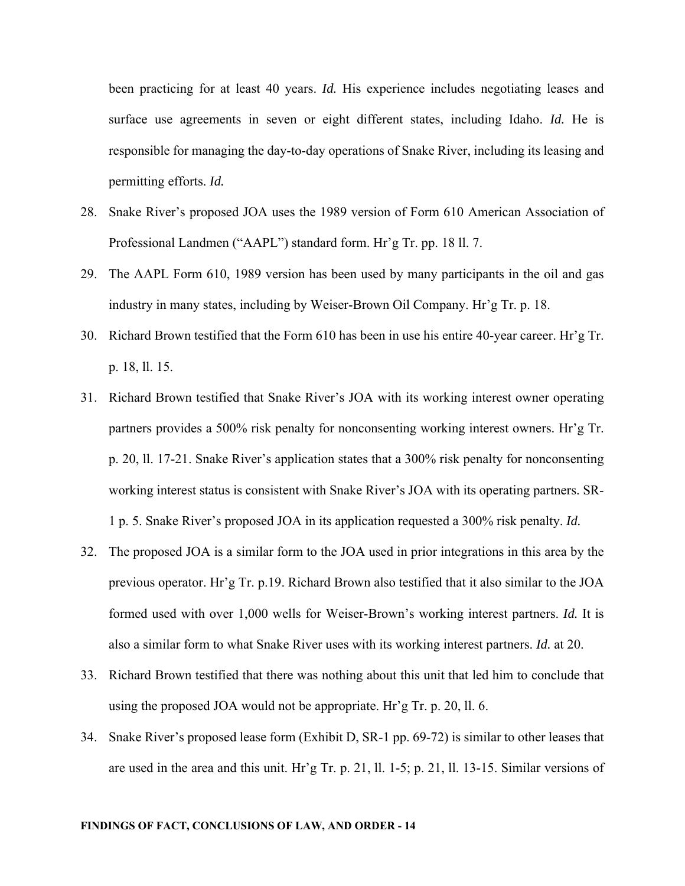been practicing for at least 40 years. *Id*. His experience includes negotiating leases and surface use agreements in seven or eight different states, including Idaho. *Id.* He is responsible for managing the day-to-day operations of Snake River, including its leasing and permitting efforts. *Id.*

- 28. Snake River's proposed JOA uses the 1989 version of Form 610 American Association of Professional Landmen ("AAPL") standard form. Hr'g Tr. pp. 18 ll. 7.
- 29. The AAPL Form 610, 1989 version has been used by many participants in the oil and gas industry in many states, including by Weiser-Brown Oil Company. Hr'g Tr. p. 18.
- 30. Richard Brown testified that the Form 610 has been in use his entire 40-year career. Hr'g Tr. p. 18, ll. 15.
- 31. Richard Brown testified that Snake River's JOA with its working interest owner operating partners provides a 500% risk penalty for nonconsenting working interest owners. Hr'g Tr. p. 20, ll. 17-21. Snake River's application states that a 300% risk penalty for nonconsenting working interest status is consistent with Snake River's JOA with its operating partners. SR-1 p. 5. Snake River's proposed JOA in its application requested a 300% risk penalty. *Id.*
- 32. The proposed JOA is a similar form to the JOA used in prior integrations in this area by the previous operator. Hr'g Tr. p.19. Richard Brown also testified that it also similar to the JOA formed used with over 1,000 wells for Weiser-Brown's working interest partners. *Id.* It is also a similar form to what Snake River uses with its working interest partners. *Id.* at 20.
- 33. Richard Brown testified that there was nothing about this unit that led him to conclude that using the proposed JOA would not be appropriate. Hr'g Tr. p. 20, ll. 6.
- 34. Snake River's proposed lease form (Exhibit D, SR-1 pp. 69-72) is similar to other leases that are used in the area and this unit. Hr'g Tr. p. 21, ll. 1-5; p. 21, ll. 13-15. Similar versions of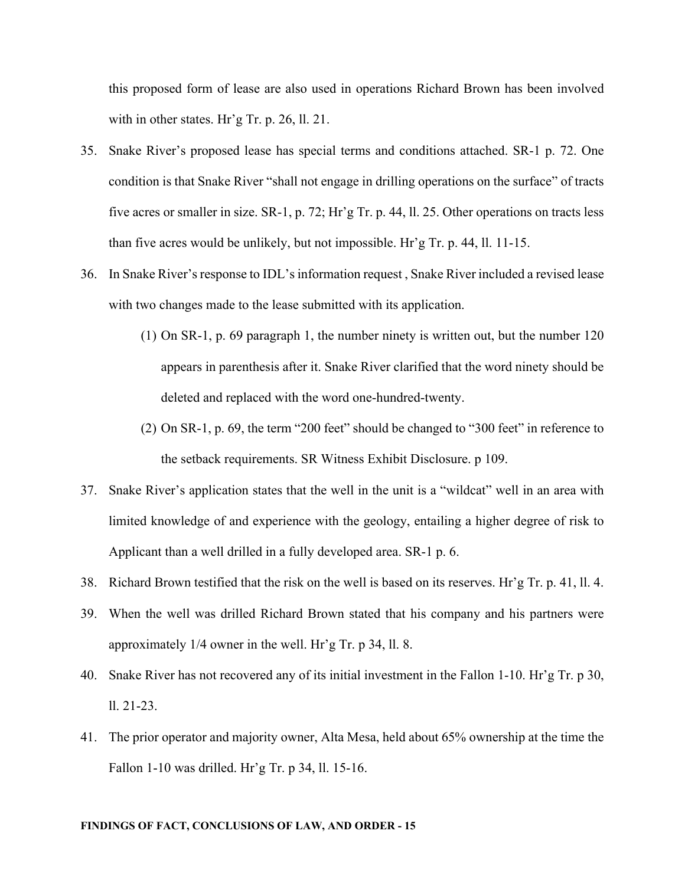this proposed form of lease are also used in operations Richard Brown has been involved with in other states. Hr'g Tr. p. 26, ll. 21.

- 35. Snake River's proposed lease has special terms and conditions attached. SR-1 p. 72. One condition is that Snake River "shall not engage in drilling operations on the surface" of tracts five acres or smaller in size. SR-1, p. 72; Hr'g Tr. p. 44, ll. 25. Other operations on tracts less than five acres would be unlikely, but not impossible. Hr'g Tr. p. 44, ll. 11-15.
- 36. In Snake River's response to IDL's information request , Snake River included a revised lease with two changes made to the lease submitted with its application.
	- (1) On SR-1, p. 69 paragraph 1, the number ninety is written out, but the number 120 appears in parenthesis after it. Snake River clarified that the word ninety should be deleted and replaced with the word one-hundred-twenty.
	- (2) On SR-1, p. 69, the term "200 feet" should be changed to "300 feet" in reference to the setback requirements. SR Witness Exhibit Disclosure. p 109.
- 37. Snake River's application states that the well in the unit is a "wildcat" well in an area with limited knowledge of and experience with the geology, entailing a higher degree of risk to Applicant than a well drilled in a fully developed area. SR-1 p. 6.
- 38. Richard Brown testified that the risk on the well is based on its reserves. Hr'g Tr. p. 41, ll. 4.
- 39. When the well was drilled Richard Brown stated that his company and his partners were approximately 1/4 owner in the well. Hr'g Tr. p 34, ll. 8.
- 40. Snake River has not recovered any of its initial investment in the Fallon 1-10. Hr'g Tr. p 30, ll. 21-23.
- 41. The prior operator and majority owner, Alta Mesa, held about 65% ownership at the time the Fallon 1-10 was drilled. Hr'g Tr. p 34, ll. 15-16.

#### **FINDINGS OF FACT, CONCLUSIONS OF LAW, AND ORDER - 15**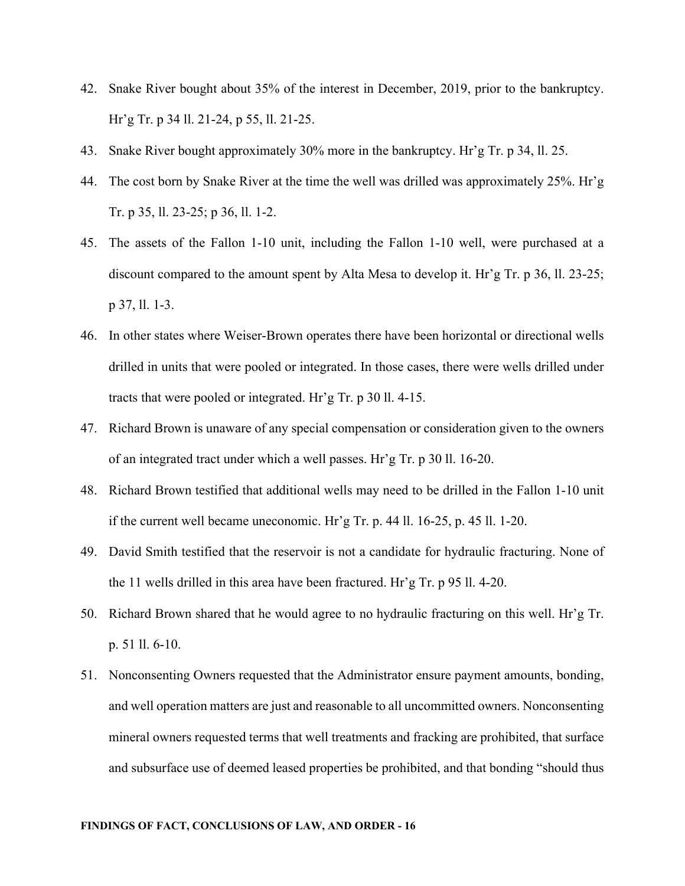- 42. Snake River bought about 35% of the interest in December, 2019, prior to the bankruptcy. Hr'g Tr. p 34 ll. 21-24, p 55, ll. 21-25.
- 43. Snake River bought approximately 30% more in the bankruptcy. Hr'g Tr. p 34, ll. 25.
- 44. The cost born by Snake River at the time the well was drilled was approximately 25%. Hr'g Tr. p 35, ll. 23-25; p 36, ll. 1-2.
- 45. The assets of the Fallon 1-10 unit, including the Fallon 1-10 well, were purchased at a discount compared to the amount spent by Alta Mesa to develop it. Hr'g Tr. p 36, ll. 23-25; p 37, ll. 1-3.
- 46. In other states where Weiser-Brown operates there have been horizontal or directional wells drilled in units that were pooled or integrated. In those cases, there were wells drilled under tracts that were pooled or integrated. Hr'g Tr. p 30 ll. 4-15.
- 47. Richard Brown is unaware of any special compensation or consideration given to the owners of an integrated tract under which a well passes. Hr'g Tr. p 30 ll. 16-20.
- 48. Richard Brown testified that additional wells may need to be drilled in the Fallon 1-10 unit if the current well became uneconomic. Hr'g Tr. p. 44 ll. 16-25, p. 45 ll. 1-20.
- 49. David Smith testified that the reservoir is not a candidate for hydraulic fracturing. None of the 11 wells drilled in this area have been fractured. Hr'g Tr. p 95 ll. 4-20.
- 50. Richard Brown shared that he would agree to no hydraulic fracturing on this well. Hr'g Tr. p. 51 ll. 6-10.
- 51. Nonconsenting Owners requested that the Administrator ensure payment amounts, bonding, and well operation matters are just and reasonable to all uncommitted owners. Nonconsenting mineral owners requested terms that well treatments and fracking are prohibited, that surface and subsurface use of deemed leased properties be prohibited, and that bonding "should thus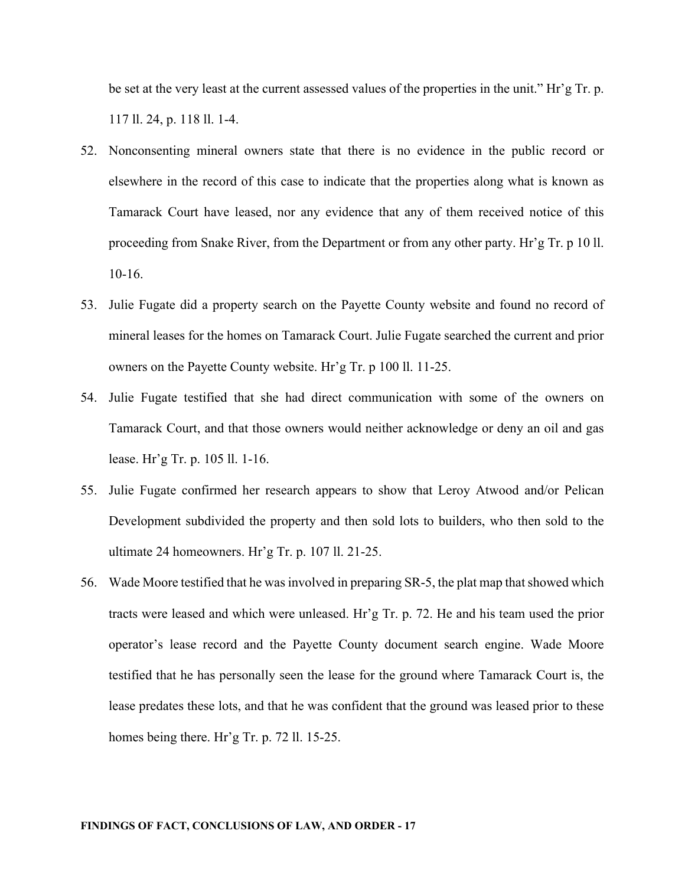be set at the very least at the current assessed values of the properties in the unit." Hr'g Tr. p. 117 ll. 24, p. 118 ll. 1-4.

- 52. Nonconsenting mineral owners state that there is no evidence in the public record or elsewhere in the record of this case to indicate that the properties along what is known as Tamarack Court have leased, nor any evidence that any of them received notice of this proceeding from Snake River, from the Department or from any other party. Hr'g Tr. p 10 ll. 10-16.
- 53. Julie Fugate did a property search on the Payette County website and found no record of mineral leases for the homes on Tamarack Court. Julie Fugate searched the current and prior owners on the Payette County website. Hr'g Tr. p 100 ll. 11-25.
- 54. Julie Fugate testified that she had direct communication with some of the owners on Tamarack Court, and that those owners would neither acknowledge or deny an oil and gas lease. Hr'g Tr. p. 105 ll. 1-16.
- 55. Julie Fugate confirmed her research appears to show that Leroy Atwood and/or Pelican Development subdivided the property and then sold lots to builders, who then sold to the ultimate 24 homeowners. Hr'g Tr. p. 107 ll. 21-25.
- 56. Wade Moore testified that he was involved in preparing SR-5, the plat map that showed which tracts were leased and which were unleased. Hr'g Tr. p. 72. He and his team used the prior operator's lease record and the Payette County document search engine. Wade Moore testified that he has personally seen the lease for the ground where Tamarack Court is, the lease predates these lots, and that he was confident that the ground was leased prior to these homes being there. Hr'g Tr. p. 72 ll. 15-25.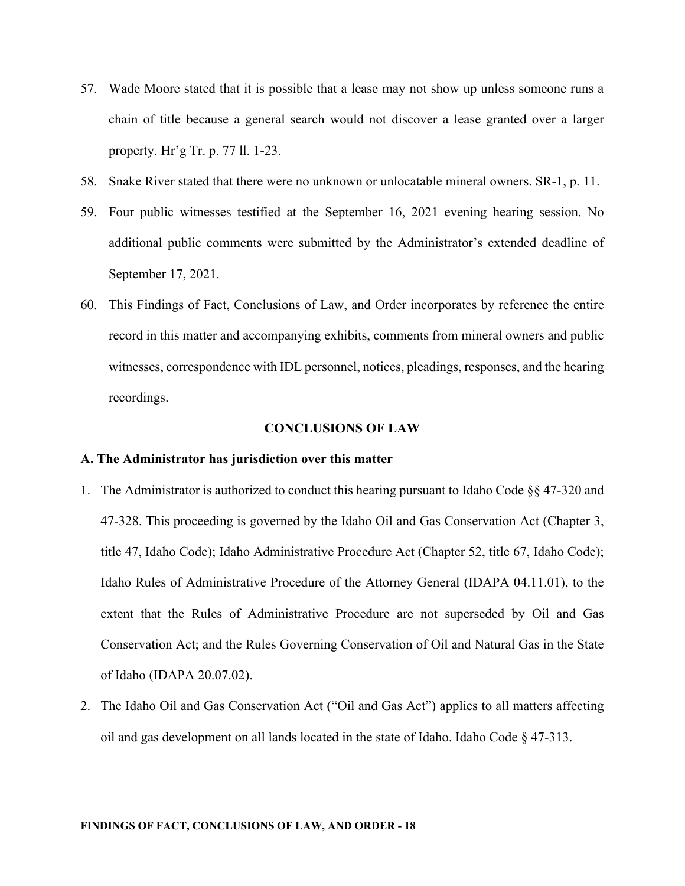- 57. Wade Moore stated that it is possible that a lease may not show up unless someone runs a chain of title because a general search would not discover a lease granted over a larger property. Hr'g Tr. p. 77 ll. 1-23.
- 58. Snake River stated that there were no unknown or unlocatable mineral owners. SR-1, p. 11.
- 59. Four public witnesses testified at the September 16, 2021 evening hearing session. No additional public comments were submitted by the Administrator's extended deadline of September 17, 2021.
- 60. This Findings of Fact, Conclusions of Law, and Order incorporates by reference the entire record in this matter and accompanying exhibits, comments from mineral owners and public witnesses, correspondence with IDL personnel, notices, pleadings, responses, and the hearing recordings.

#### **CONCLUSIONS OF LAW**

#### **A. The Administrator has jurisdiction over this matter**

- 1. The Administrator is authorized to conduct this hearing pursuant to Idaho Code §§ 47-320 and 47-328. This proceeding is governed by the Idaho Oil and Gas Conservation Act (Chapter 3, title 47, Idaho Code); Idaho Administrative Procedure Act (Chapter 52, title 67, Idaho Code); Idaho Rules of Administrative Procedure of the Attorney General (IDAPA 04.11.01), to the extent that the Rules of Administrative Procedure are not superseded by Oil and Gas Conservation Act; and the Rules Governing Conservation of Oil and Natural Gas in the State of Idaho (IDAPA 20.07.02).
- 2. The Idaho Oil and Gas Conservation Act ("Oil and Gas Act") applies to all matters affecting oil and gas development on all lands located in the state of Idaho. Idaho Code § 47-313.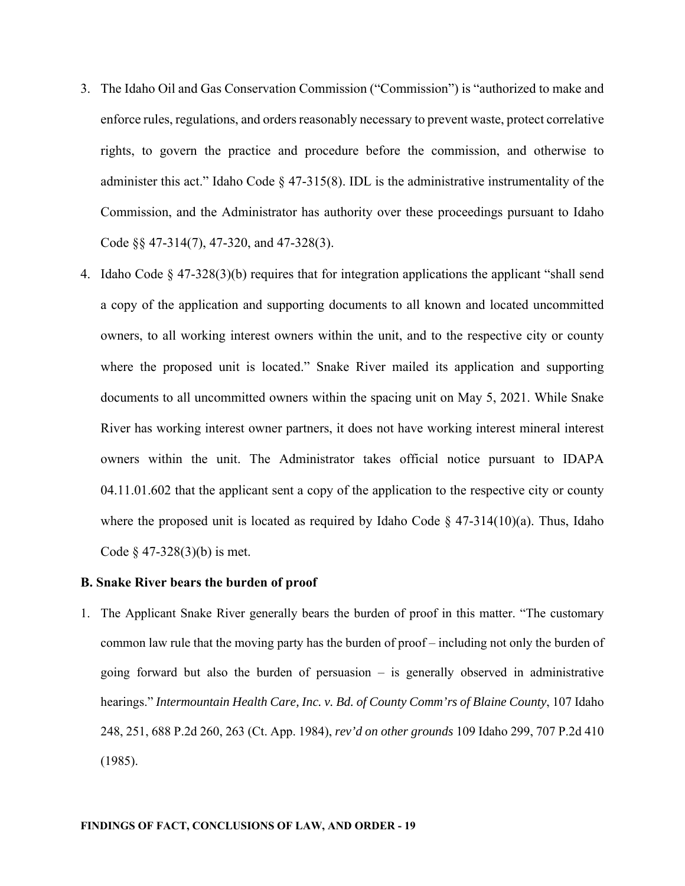- 3. The Idaho Oil and Gas Conservation Commission ("Commission") is "authorized to make and enforce rules, regulations, and orders reasonably necessary to prevent waste, protect correlative rights, to govern the practice and procedure before the commission, and otherwise to administer this act." Idaho Code § 47-315(8). IDL is the administrative instrumentality of the Commission, and the Administrator has authority over these proceedings pursuant to Idaho Code §§ 47-314(7), 47-320, and 47-328(3).
- 4. Idaho Code  $\S 47-328(3)(b)$  requires that for integration applications the applicant "shall send a copy of the application and supporting documents to all known and located uncommitted owners, to all working interest owners within the unit, and to the respective city or county where the proposed unit is located." Snake River mailed its application and supporting documents to all uncommitted owners within the spacing unit on May 5, 2021. While Snake River has working interest owner partners, it does not have working interest mineral interest owners within the unit. The Administrator takes official notice pursuant to IDAPA 04.11.01.602 that the applicant sent a copy of the application to the respective city or county where the proposed unit is located as required by Idaho Code  $\S$  47-314(10)(a). Thus, Idaho Code § 47-328(3)(b) is met.

#### **B. Snake River bears the burden of proof**

1. The Applicant Snake River generally bears the burden of proof in this matter. "The customary common law rule that the moving party has the burden of proof – including not only the burden of going forward but also the burden of persuasion – is generally observed in administrative hearings." *Intermountain Health Care, Inc. v. Bd. of County Comm'rs of Blaine County*, 107 Idaho 248, 251, 688 P.2d 260, 263 (Ct. App. 1984), *rev'd on other grounds* 109 Idaho 299, 707 P.2d 410 (1985).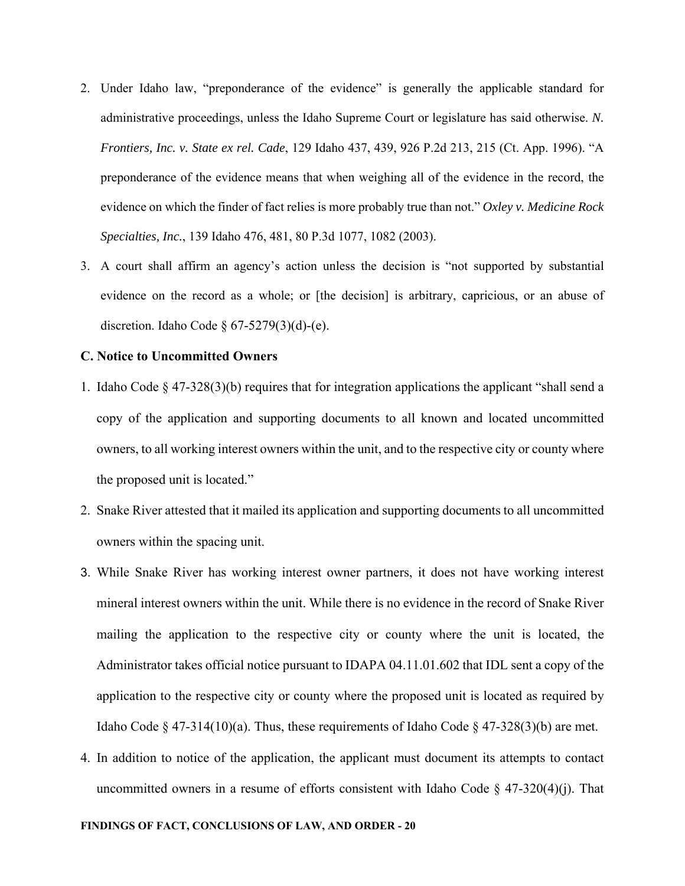- 2. Under Idaho law, "preponderance of the evidence" is generally the applicable standard for administrative proceedings, unless the Idaho Supreme Court or legislature has said otherwise. *N. Frontiers, Inc. v. State ex rel. Cade*, 129 Idaho 437, 439, 926 P.2d 213, 215 (Ct. App. 1996). "A preponderance of the evidence means that when weighing all of the evidence in the record, the evidence on which the finder of fact relies is more probably true than not." *Oxley v. Medicine Rock Specialties, Inc.*, 139 Idaho 476, 481, 80 P.3d 1077, 1082 (2003).
- 3. A court shall affirm an agency's action unless the decision is "not supported by substantial evidence on the record as a whole; or [the decision] is arbitrary, capricious, or an abuse of discretion. Idaho Code §  $67-5279(3)(d)-(e)$ .

### **C. Notice to Uncommitted Owners**

- 1. Idaho Code § 47-328(3)(b) requires that for integration applications the applicant "shall send a copy of the application and supporting documents to all known and located uncommitted owners, to all working interest owners within the unit, and to the respective city or county where the proposed unit is located."
- 2. Snake River attested that it mailed its application and supporting documents to all uncommitted owners within the spacing unit.
- 3. While Snake River has working interest owner partners, it does not have working interest mineral interest owners within the unit. While there is no evidence in the record of Snake River mailing the application to the respective city or county where the unit is located, the Administrator takes official notice pursuant to IDAPA 04.11.01.602 that IDL sent a copy of the application to the respective city or county where the proposed unit is located as required by Idaho Code § 47-314(10)(a). Thus, these requirements of Idaho Code § 47-328(3)(b) are met.
- 4. In addition to notice of the application, the applicant must document its attempts to contact uncommitted owners in a resume of efforts consistent with Idaho Code  $\S$  47-320(4)(j). That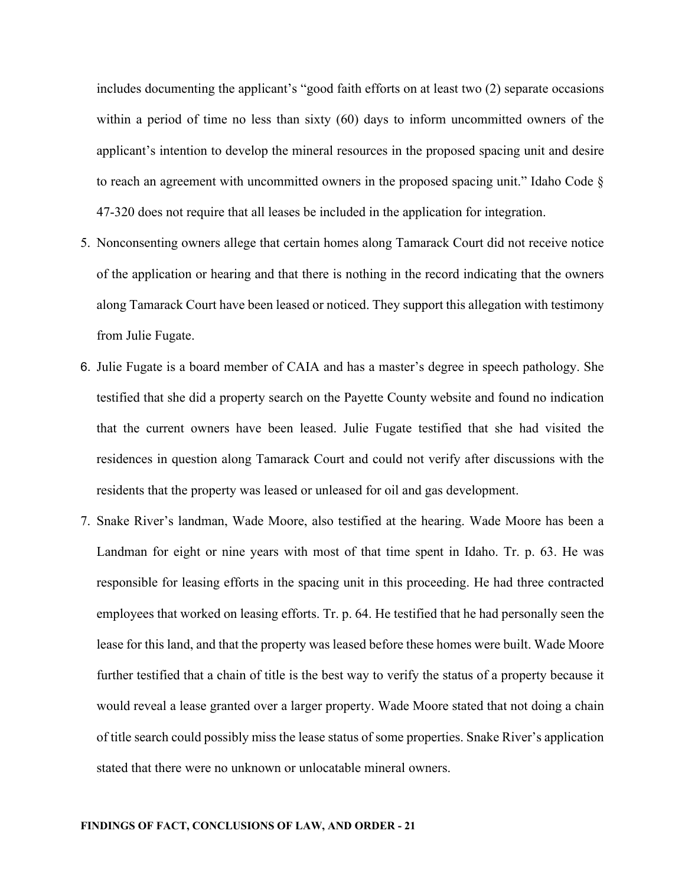includes documenting the applicant's "good faith efforts on at least two (2) separate occasions within a period of time no less than sixty (60) days to inform uncommitted owners of the applicant's intention to develop the mineral resources in the proposed spacing unit and desire to reach an agreement with uncommitted owners in the proposed spacing unit." Idaho Code § 47-320 does not require that all leases be included in the application for integration.

- 5. Nonconsenting owners allege that certain homes along Tamarack Court did not receive notice of the application or hearing and that there is nothing in the record indicating that the owners along Tamarack Court have been leased or noticed. They support this allegation with testimony from Julie Fugate.
- 6. Julie Fugate is a board member of CAIA and has a master's degree in speech pathology. She testified that she did a property search on the Payette County website and found no indication that the current owners have been leased. Julie Fugate testified that she had visited the residences in question along Tamarack Court and could not verify after discussions with the residents that the property was leased or unleased for oil and gas development.
- 7. Snake River's landman, Wade Moore, also testified at the hearing. Wade Moore has been a Landman for eight or nine years with most of that time spent in Idaho. Tr. p. 63. He was responsible for leasing efforts in the spacing unit in this proceeding. He had three contracted employees that worked on leasing efforts. Tr. p. 64. He testified that he had personally seen the lease for this land, and that the property was leased before these homes were built. Wade Moore further testified that a chain of title is the best way to verify the status of a property because it would reveal a lease granted over a larger property. Wade Moore stated that not doing a chain of title search could possibly miss the lease status of some properties. Snake River's application stated that there were no unknown or unlocatable mineral owners.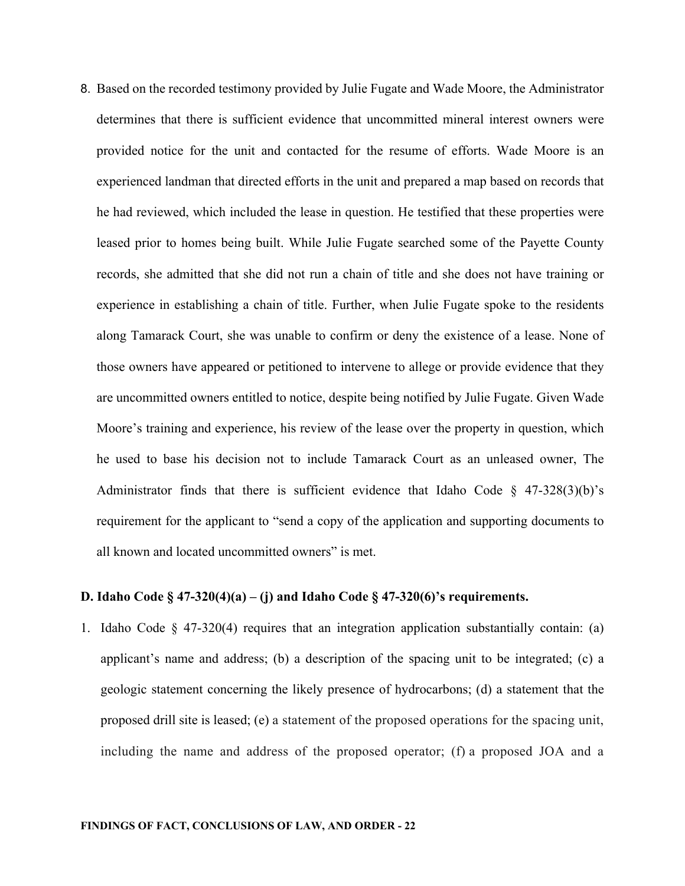8. Based on the recorded testimony provided by Julie Fugate and Wade Moore, the Administrator determines that there is sufficient evidence that uncommitted mineral interest owners were provided notice for the unit and contacted for the resume of efforts. Wade Moore is an experienced landman that directed efforts in the unit and prepared a map based on records that he had reviewed, which included the lease in question. He testified that these properties were leased prior to homes being built. While Julie Fugate searched some of the Payette County records, she admitted that she did not run a chain of title and she does not have training or experience in establishing a chain of title. Further, when Julie Fugate spoke to the residents along Tamarack Court, she was unable to confirm or deny the existence of a lease. None of those owners have appeared or petitioned to intervene to allege or provide evidence that they are uncommitted owners entitled to notice, despite being notified by Julie Fugate. Given Wade Moore's training and experience, his review of the lease over the property in question, which he used to base his decision not to include Tamarack Court as an unleased owner, The Administrator finds that there is sufficient evidence that Idaho Code  $\S$  47-328(3)(b)'s requirement for the applicant to "send a copy of the application and supporting documents to all known and located uncommitted owners" is met.

## **D. Idaho Code § 47-320(4)(a) – (j) and Idaho Code § 47-320(6)'s requirements.**

1. Idaho Code  $\S$  47-320(4) requires that an integration application substantially contain: (a) applicant's name and address; (b) a description of the spacing unit to be integrated; (c) a geologic statement concerning the likely presence of hydrocarbons; (d) a statement that the proposed drill site is leased; (e) a statement of the proposed operations for the spacing unit, including the name and address of the proposed operator; (f) a proposed JOA and a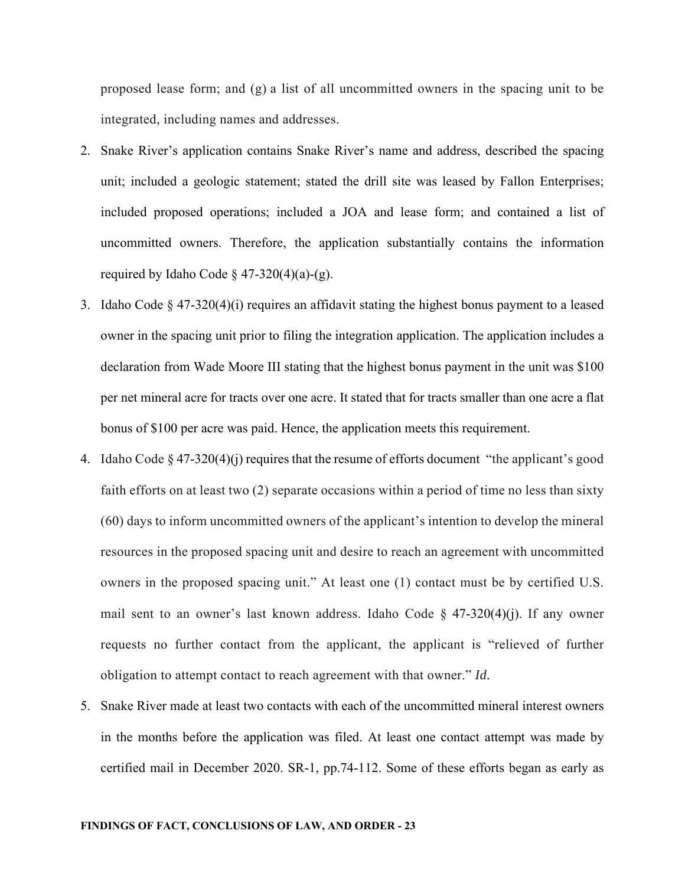proposed lease form; and (g) a list of all uncommitted owners in the spacing unit to be integrated, including names and addresses.

- 2. Snake River's application contains Snake River's name and address, described the spacing unit; included a geologic statement; stated the drill site was leased by Fallon Enterprises; included proposed operations; included a JOA and lease form; and contained a list of uncommitted owners. Therefore, the application substantially contains the information required by Idaho Code  $\S$  47-320(4)(a)-(g).
- 3. Idaho Code  $\S 47-320(4)(i)$  requires an affidavit stating the highest bonus payment to a leased owner in the spacing unit prior to filing the integration application. The application includes a declaration from Wade Moore III stating that the highest bonus payment in the unit was \$100 per net mineral acre for tracts over one acre. It stated that for tracts smaller than one acre a flat bonus of \$100 per acre was paid. Hence, the application meets this requirement.
- 4. Idaho Code  $\S 47-320(4)(i)$  requires that the resume of efforts document "the applicant's good faith efforts on at least two (2) separate occasions within a period of time no less than sixty (60) days to inform uncommitted owners of the applicant's intention to develop the mineral resources in the proposed spacing unit and desire to reach an agreement with uncommitted owners in the proposed spacing unit." At least one (1) contact must be by certified U.S. mail sent to an owner's last known address. Idaho Code  $\S$  47-320(4)(j). If any owner requests no further contact from the applicant, the applicant is "relieved of further obligation to attempt contact to reach agreement with that owner." *Id.*
- 5. Snake River made at least two contacts with each of the uncommitted mineral interest owners in the months before the application was filed. At least one contact attempt was made by certified mail in December 2020. SR-1, pp.74-112. Some of these efforts began as early as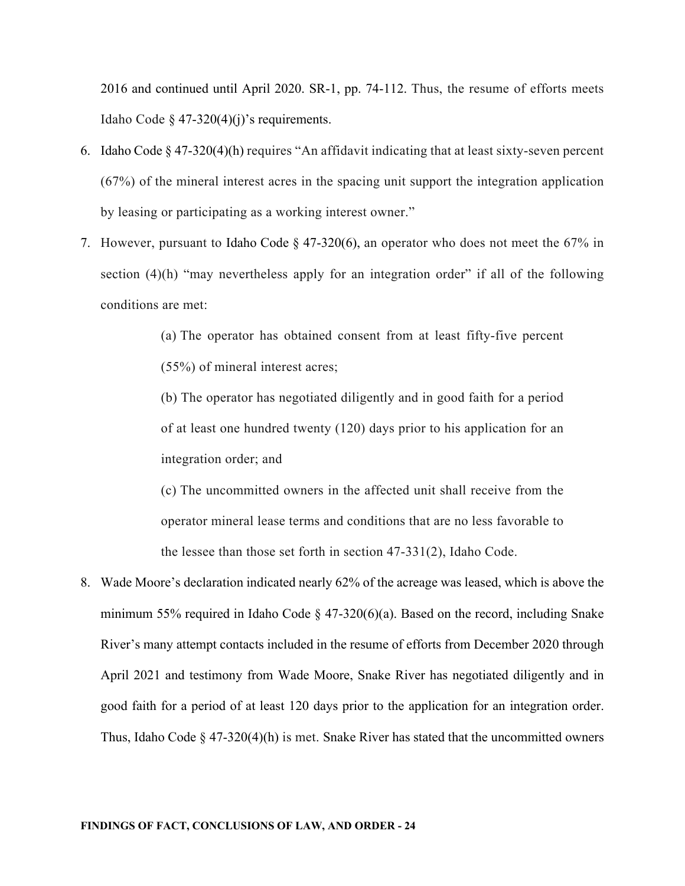2016 and continued until April 2020. SR-1, pp. 74-112. Thus, the resume of efforts meets Idaho Code  $\S$  47-320(4)(j)'s requirements.

- 6. Idaho Code § 47-320(4)(h) requires "An affidavit indicating that at least sixty-seven percent (67%) of the mineral interest acres in the spacing unit support the integration application by leasing or participating as a working interest owner."
- 7. However, pursuant to Idaho Code § 47-320(6), an operator who does not meet the 67% in section (4)(h) "may nevertheless apply for an integration order" if all of the following conditions are met:

(a) The operator has obtained consent from at least fifty-five percent (55%) of mineral interest acres;

(b) The operator has negotiated diligently and in good faith for a period of at least one hundred twenty (120) days prior to his application for an integration order; and

(c) The uncommitted owners in the affected unit shall receive from the operator mineral lease terms and conditions that are no less favorable to the lessee than those set forth in section 47-331(2), Idaho Code.

8. Wade Moore's declaration indicated nearly 62% of the acreage was leased, which is above the minimum 55% required in Idaho Code  $\S$  47-320(6)(a). Based on the record, including Snake River's many attempt contacts included in the resume of efforts from December 2020 through April 2021 and testimony from Wade Moore, Snake River has negotiated diligently and in good faith for a period of at least 120 days prior to the application for an integration order. Thus, Idaho Code  $\S$  47-320(4)(h) is met. Snake River has stated that the uncommitted owners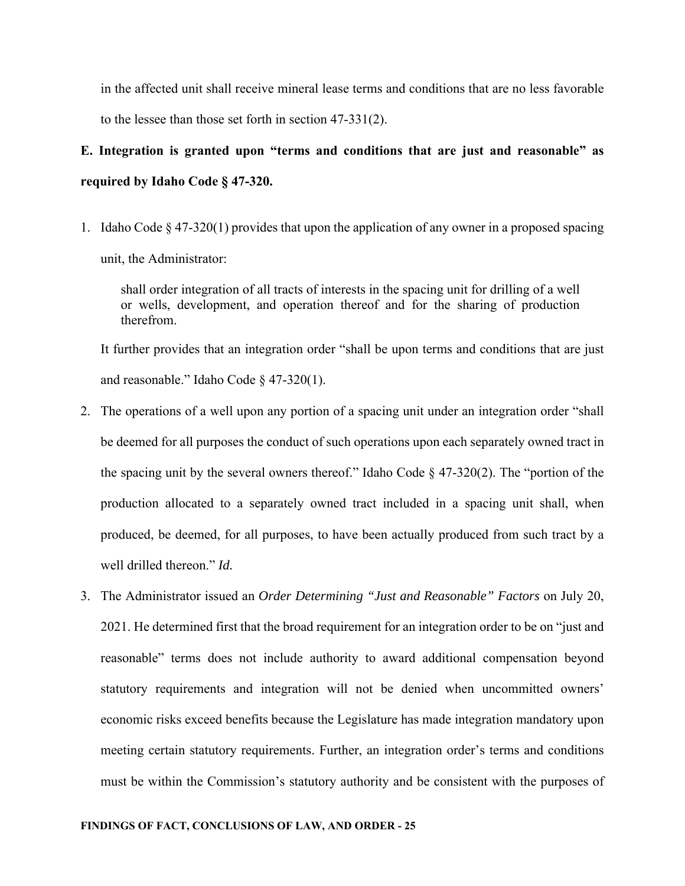in the affected unit shall receive mineral lease terms and conditions that are no less favorable to the lessee than those set forth in section 47-331(2).

# **E. Integration is granted upon "terms and conditions that are just and reasonable" as required by Idaho Code § 47-320.**

1. Idaho Code  $\S 47-320(1)$  provides that upon the application of any owner in a proposed spacing unit, the Administrator:

shall order integration of all tracts of interests in the spacing unit for drilling of a well or wells, development, and operation thereof and for the sharing of production therefrom.

It further provides that an integration order "shall be upon terms and conditions that are just and reasonable." Idaho Code § 47-320(1).

- 2. The operations of a well upon any portion of a spacing unit under an integration order "shall be deemed for all purposes the conduct of such operations upon each separately owned tract in the spacing unit by the several owners thereof." Idaho Code  $\S$  47-320(2). The "portion of the production allocated to a separately owned tract included in a spacing unit shall, when produced, be deemed, for all purposes, to have been actually produced from such tract by a well drilled thereon." *Id.*
- 3. The Administrator issued an *Order Determining "Just and Reasonable" Factors* on July 20, 2021. He determined first that the broad requirement for an integration order to be on "just and reasonable" terms does not include authority to award additional compensation beyond statutory requirements and integration will not be denied when uncommitted owners' economic risks exceed benefits because the Legislature has made integration mandatory upon meeting certain statutory requirements. Further, an integration order's terms and conditions must be within the Commission's statutory authority and be consistent with the purposes of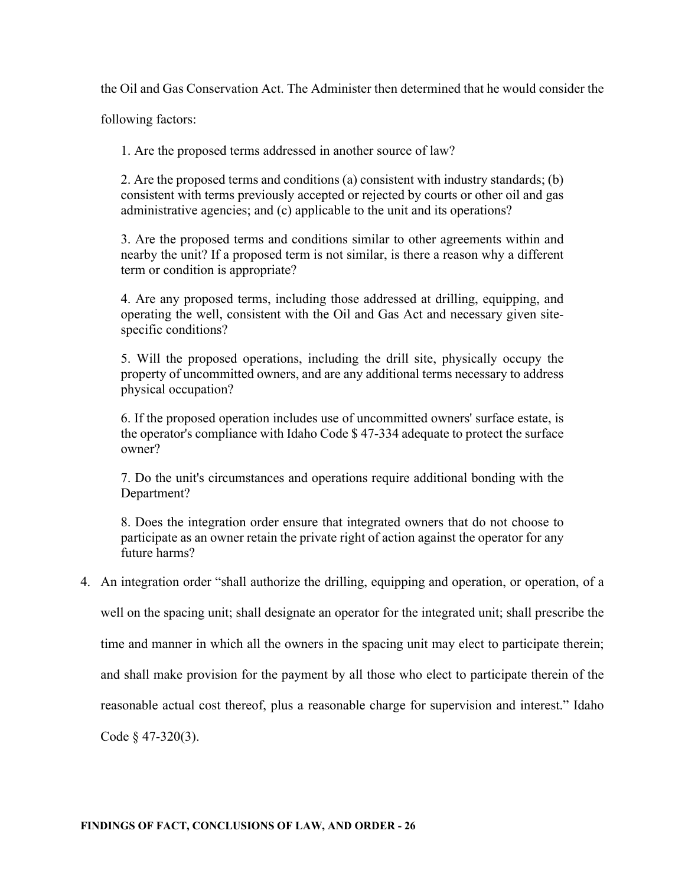the Oil and Gas Conservation Act. The Administer then determined that he would consider the

following factors:

1. Are the proposed terms addressed in another source of law?

2. Are the proposed terms and conditions (a) consistent with industry standards; (b) consistent with terms previously accepted or rejected by courts or other oil and gas administrative agencies; and (c) applicable to the unit and its operations?

3. Are the proposed terms and conditions similar to other agreements within and nearby the unit? If a proposed term is not similar, is there a reason why a different term or condition is appropriate?

4. Are any proposed terms, including those addressed at drilling, equipping, and operating the well, consistent with the Oil and Gas Act and necessary given sitespecific conditions?

5. Will the proposed operations, including the drill site, physically occupy the property of uncommitted owners, and are any additional terms necessary to address physical occupation?

6. If the proposed operation includes use of uncommitted owners' surface estate, is the operator's compliance with Idaho Code \$ 47-334 adequate to protect the surface owner?

7. Do the unit's circumstances and operations require additional bonding with the Department?

8. Does the integration order ensure that integrated owners that do not choose to participate as an owner retain the private right of action against the operator for any future harms?

4. An integration order "shall authorize the drilling, equipping and operation, or operation, of a

well on the spacing unit; shall designate an operator for the integrated unit; shall prescribe the

time and manner in which all the owners in the spacing unit may elect to participate therein;

and shall make provision for the payment by all those who elect to participate therein of the

reasonable actual cost thereof, plus a reasonable charge for supervision and interest." Idaho

Code § 47-320(3).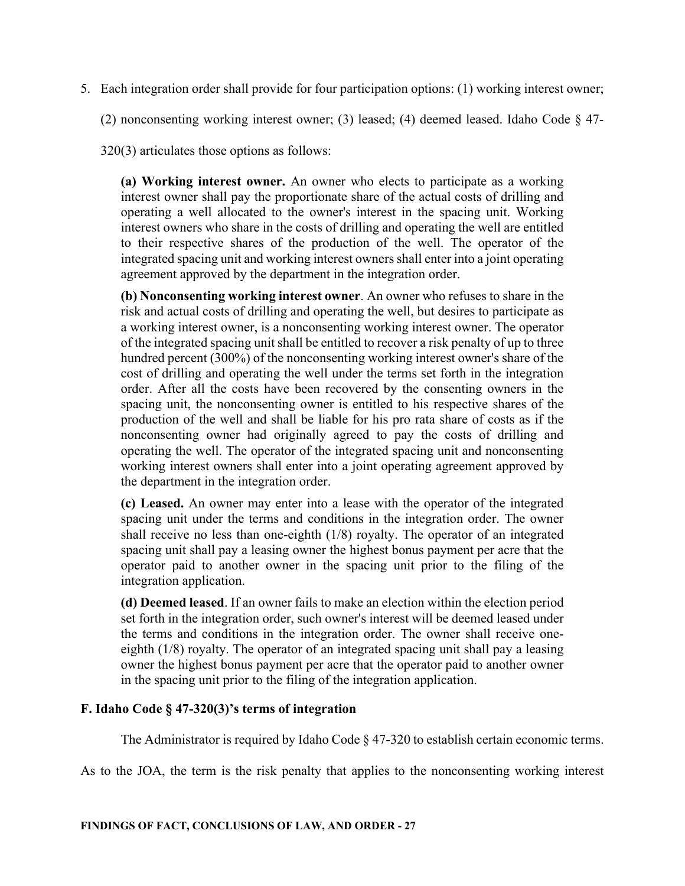5. Each integration order shall provide for four participation options: (1) working interest owner;

(2) nonconsenting working interest owner; (3) leased; (4) deemed leased. Idaho Code § 47-

320(3) articulates those options as follows:

**(a) Working interest owner.** An owner who elects to participate as a working interest owner shall pay the proportionate share of the actual costs of drilling and operating a well allocated to the owner's interest in the spacing unit. Working interest owners who share in the costs of drilling and operating the well are entitled to their respective shares of the production of the well. The operator of the integrated spacing unit and working interest owners shall enter into a joint operating agreement approved by the department in the integration order.

**(b) Nonconsenting working interest owner**. An owner who refuses to share in the risk and actual costs of drilling and operating the well, but desires to participate as a working interest owner, is a nonconsenting working interest owner. The operator of the integrated spacing unit shall be entitled to recover a risk penalty of up to three hundred percent (300%) of the nonconsenting working interest owner's share of the cost of drilling and operating the well under the terms set forth in the integration order. After all the costs have been recovered by the consenting owners in the spacing unit, the nonconsenting owner is entitled to his respective shares of the production of the well and shall be liable for his pro rata share of costs as if the nonconsenting owner had originally agreed to pay the costs of drilling and operating the well. The operator of the integrated spacing unit and nonconsenting working interest owners shall enter into a joint operating agreement approved by the department in the integration order.

**(c) Leased.** An owner may enter into a lease with the operator of the integrated spacing unit under the terms and conditions in the integration order. The owner shall receive no less than one-eighth (1/8) royalty. The operator of an integrated spacing unit shall pay a leasing owner the highest bonus payment per acre that the operator paid to another owner in the spacing unit prior to the filing of the integration application.

**(d) Deemed leased**. If an owner fails to make an election within the election period set forth in the integration order, such owner's interest will be deemed leased under the terms and conditions in the integration order. The owner shall receive oneeighth (1/8) royalty. The operator of an integrated spacing unit shall pay a leasing owner the highest bonus payment per acre that the operator paid to another owner in the spacing unit prior to the filing of the integration application.

# **F. Idaho Code § 47-320(3)'s terms of integration**

The Administrator is required by Idaho Code  $\S$  47-320 to establish certain economic terms.

As to the JOA, the term is the risk penalty that applies to the nonconsenting working interest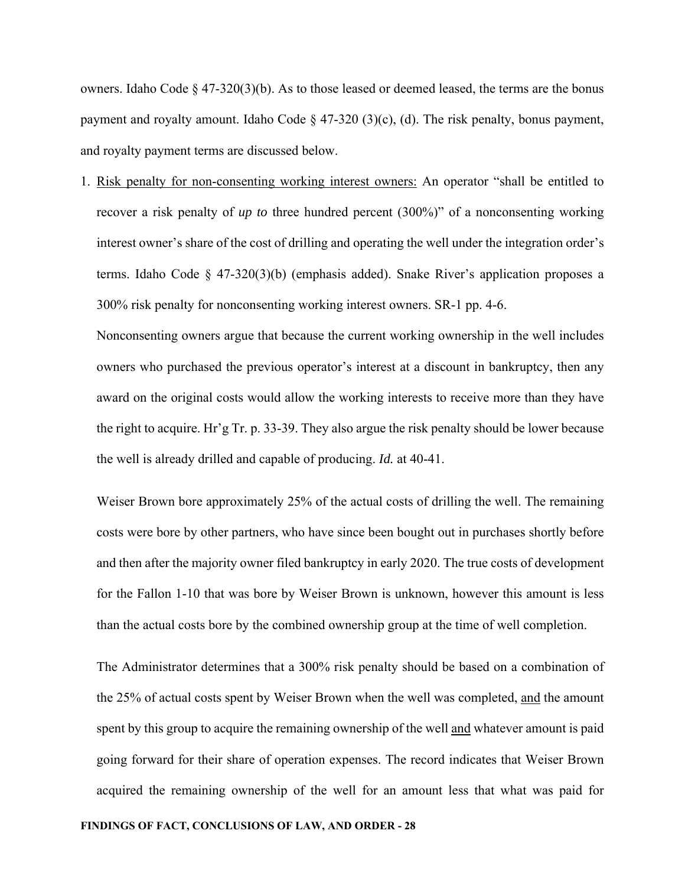owners. Idaho Code  $\S 47-320(3)(b)$ . As to those leased or deemed leased, the terms are the bonus payment and royalty amount. Idaho Code  $\S$  47-320 (3)(c), (d). The risk penalty, bonus payment, and royalty payment terms are discussed below.

1. Risk penalty for non-consenting working interest owners: An operator "shall be entitled to recover a risk penalty of *up to* three hundred percent (300%)" of a nonconsenting working interest owner's share of the cost of drilling and operating the well under the integration order's terms. Idaho Code  $\S$  47-320(3)(b) (emphasis added). Snake River's application proposes a 300% risk penalty for nonconsenting working interest owners. SR-1 pp. 4-6.

Nonconsenting owners argue that because the current working ownership in the well includes owners who purchased the previous operator's interest at a discount in bankruptcy, then any award on the original costs would allow the working interests to receive more than they have the right to acquire. Hr'g Tr. p. 33-39. They also argue the risk penalty should be lower because the well is already drilled and capable of producing. *Id.* at 40-41.

Weiser Brown bore approximately 25% of the actual costs of drilling the well. The remaining costs were bore by other partners, who have since been bought out in purchases shortly before and then after the majority owner filed bankruptcy in early 2020. The true costs of development for the Fallon 1-10 that was bore by Weiser Brown is unknown, however this amount is less than the actual costs bore by the combined ownership group at the time of well completion.

The Administrator determines that a 300% risk penalty should be based on a combination of the 25% of actual costs spent by Weiser Brown when the well was completed, and the amount spent by this group to acquire the remaining ownership of the well and whatever amount is paid going forward for their share of operation expenses. The record indicates that Weiser Brown acquired the remaining ownership of the well for an amount less that what was paid for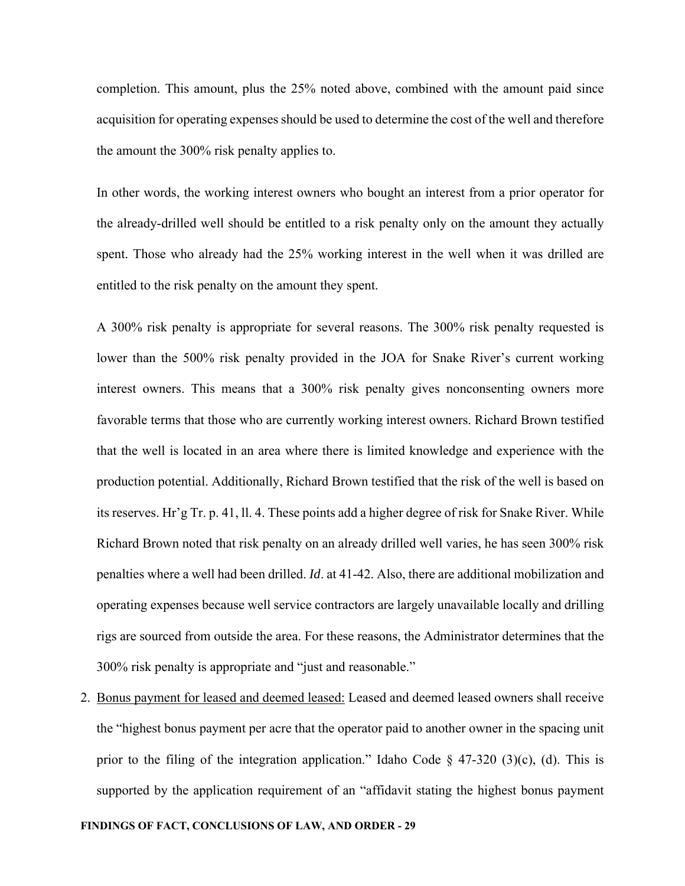completion. This amount, plus the 25% noted above, combined with the amount paid since acquisition for operating expenses should be used to determine the cost of the well and therefore the amount the 300% risk penalty applies to.

In other words, the working interest owners who bought an interest from a prior operator for the already-drilled well should be entitled to a risk penalty only on the amount they actually spent. Those who already had the 25% working interest in the well when it was drilled are entitled to the risk penalty on the amount they spent.

A 300% risk penalty is appropriate for several reasons. The 300% risk penalty requested is lower than the 500% risk penalty provided in the JOA for Snake River's current working interest owners. This means that a 300% risk penalty gives nonconsenting owners more favorable terms that those who are currently working interest owners. Richard Brown testified that the well is located in an area where there is limited knowledge and experience with the production potential. Additionally, Richard Brown testified that the risk of the well is based on its reserves. Hr'g Tr. p. 41, ll. 4. These points add a higher degree of risk for Snake River. While Richard Brown noted that risk penalty on an already drilled well varies, he has seen 300% risk penalties where a well had been drilled. *Id*. at 41-42. Also, there are additional mobilization and operating expenses because well service contractors are largely unavailable locally and drilling rigs are sourced from outside the area. For these reasons, the Administrator determines that the 300% risk penalty is appropriate and "just and reasonable."

2. Bonus payment for leased and deemed leased: Leased and deemed leased owners shall receive the "highest bonus payment per acre that the operator paid to another owner in the spacing unit prior to the filing of the integration application." Idaho Code § 47-320 (3)(c), (d). This is supported by the application requirement of an "affidavit stating the highest bonus payment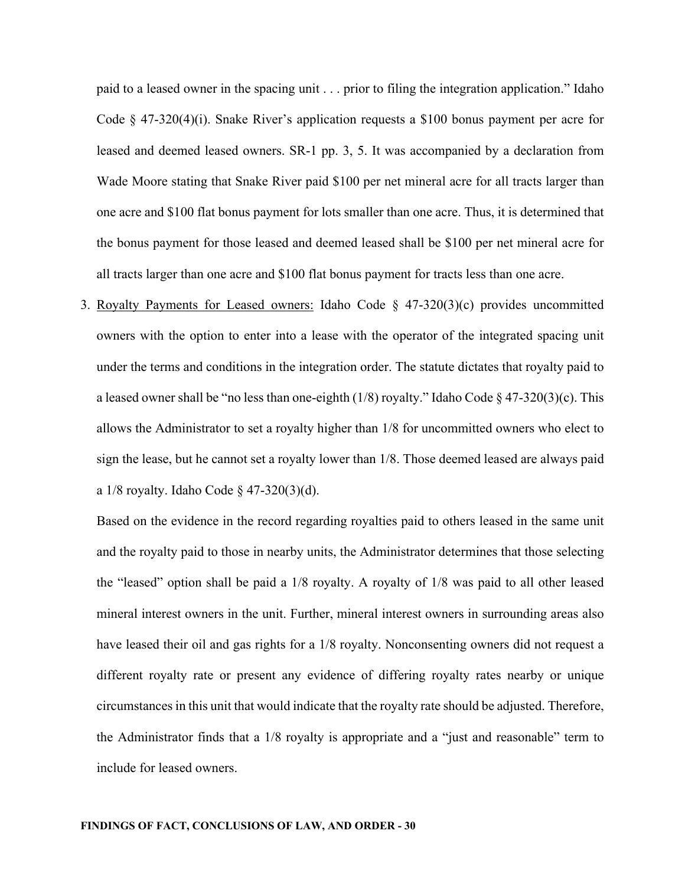paid to a leased owner in the spacing unit . . . prior to filing the integration application." Idaho Code  $\S$  47-320(4)(i). Snake River's application requests a \$100 bonus payment per acre for leased and deemed leased owners. SR-1 pp. 3, 5. It was accompanied by a declaration from Wade Moore stating that Snake River paid \$100 per net mineral acre for all tracts larger than one acre and \$100 flat bonus payment for lots smaller than one acre. Thus, it is determined that the bonus payment for those leased and deemed leased shall be \$100 per net mineral acre for all tracts larger than one acre and \$100 flat bonus payment for tracts less than one acre.

3. Royalty Payments for Leased owners: Idaho Code § 47-320(3)(c) provides uncommitted owners with the option to enter into a lease with the operator of the integrated spacing unit under the terms and conditions in the integration order. The statute dictates that royalty paid to a leased owner shall be "no less than one-eighth  $(1/8)$  royalty." Idaho Code § 47-320(3)(c). This allows the Administrator to set a royalty higher than 1/8 for uncommitted owners who elect to sign the lease, but he cannot set a royalty lower than 1/8. Those deemed leased are always paid a  $1/8$  royalty. Idaho Code § 47-320(3)(d).

Based on the evidence in the record regarding royalties paid to others leased in the same unit and the royalty paid to those in nearby units, the Administrator determines that those selecting the "leased" option shall be paid a 1/8 royalty. A royalty of 1/8 was paid to all other leased mineral interest owners in the unit. Further, mineral interest owners in surrounding areas also have leased their oil and gas rights for a 1/8 royalty. Nonconsenting owners did not request a different royalty rate or present any evidence of differing royalty rates nearby or unique circumstances in this unit that would indicate that the royalty rate should be adjusted. Therefore, the Administrator finds that a 1/8 royalty is appropriate and a "just and reasonable" term to include for leased owners.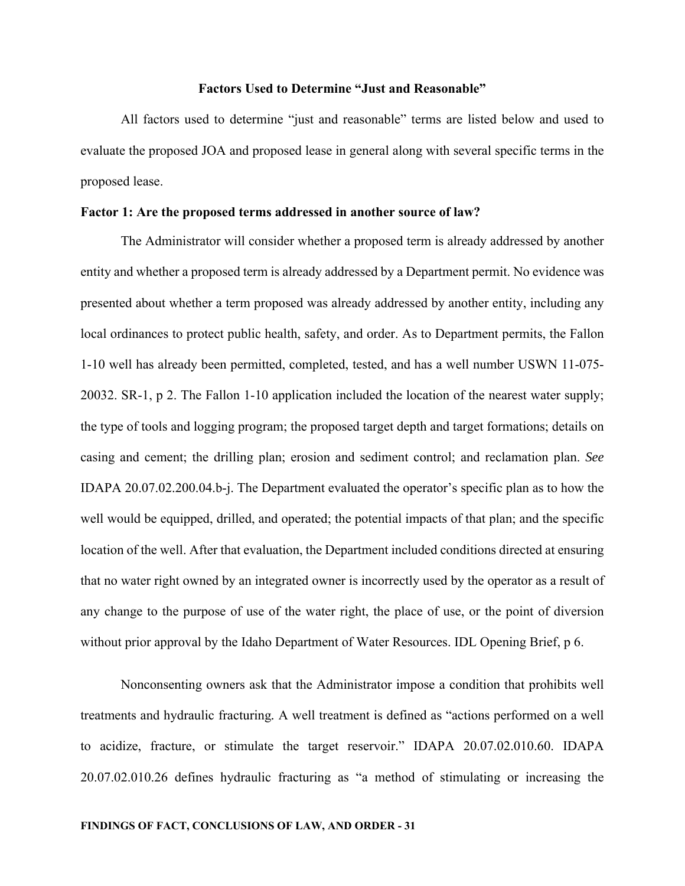### **Factors Used to Determine "Just and Reasonable"**

All factors used to determine "just and reasonable" terms are listed below and used to evaluate the proposed JOA and proposed lease in general along with several specific terms in the proposed lease.

## **Factor 1: Are the proposed terms addressed in another source of law?**

The Administrator will consider whether a proposed term is already addressed by another entity and whether a proposed term is already addressed by a Department permit. No evidence was presented about whether a term proposed was already addressed by another entity, including any local ordinances to protect public health, safety, and order. As to Department permits, the Fallon 1-10 well has already been permitted, completed, tested, and has a well number USWN 11-075- 20032. SR-1, p 2. The Fallon 1-10 application included the location of the nearest water supply; the type of tools and logging program; the proposed target depth and target formations; details on casing and cement; the drilling plan; erosion and sediment control; and reclamation plan. *See* IDAPA 20.07.02.200.04.b-j. The Department evaluated the operator's specific plan as to how the well would be equipped, drilled, and operated; the potential impacts of that plan; and the specific location of the well. After that evaluation, the Department included conditions directed at ensuring that no water right owned by an integrated owner is incorrectly used by the operator as a result of any change to the purpose of use of the water right, the place of use, or the point of diversion without prior approval by the Idaho Department of Water Resources. IDL Opening Brief, p 6.

Nonconsenting owners ask that the Administrator impose a condition that prohibits well treatments and hydraulic fracturing*.* A well treatment is defined as "actions performed on a well to acidize, fracture, or stimulate the target reservoir." IDAPA 20.07.02.010.60. IDAPA 20.07.02.010.26 defines hydraulic fracturing as "a method of stimulating or increasing the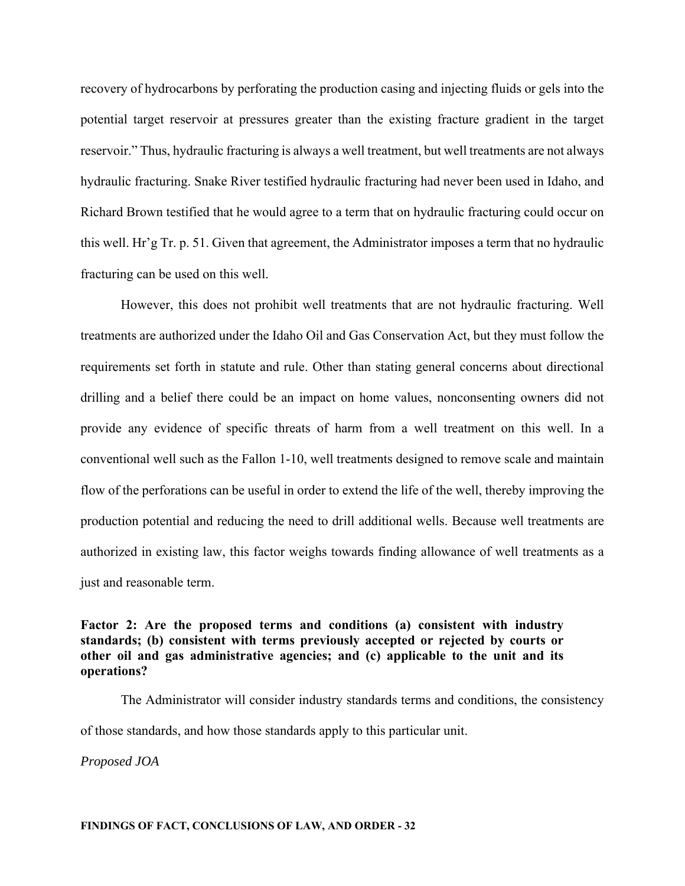recovery of hydrocarbons by perforating the production casing and injecting fluids or gels into the potential target reservoir at pressures greater than the existing fracture gradient in the target reservoir." Thus, hydraulic fracturing is always a well treatment, but well treatments are not always hydraulic fracturing. Snake River testified hydraulic fracturing had never been used in Idaho, and Richard Brown testified that he would agree to a term that on hydraulic fracturing could occur on this well. Hr'g Tr. p. 51. Given that agreement, the Administrator imposes a term that no hydraulic fracturing can be used on this well.

However, this does not prohibit well treatments that are not hydraulic fracturing. Well treatments are authorized under the Idaho Oil and Gas Conservation Act, but they must follow the requirements set forth in statute and rule. Other than stating general concerns about directional drilling and a belief there could be an impact on home values, nonconsenting owners did not provide any evidence of specific threats of harm from a well treatment on this well. In a conventional well such as the Fallon 1-10, well treatments designed to remove scale and maintain flow of the perforations can be useful in order to extend the life of the well, thereby improving the production potential and reducing the need to drill additional wells. Because well treatments are authorized in existing law, this factor weighs towards finding allowance of well treatments as a just and reasonable term.

# **Factor 2: Are the proposed terms and conditions (a) consistent with industry standards; (b) consistent with terms previously accepted or rejected by courts or other oil and gas administrative agencies; and (c) applicable to the unit and its operations?**

The Administrator will consider industry standards terms and conditions, the consistency of those standards, and how those standards apply to this particular unit.

*Proposed JOA*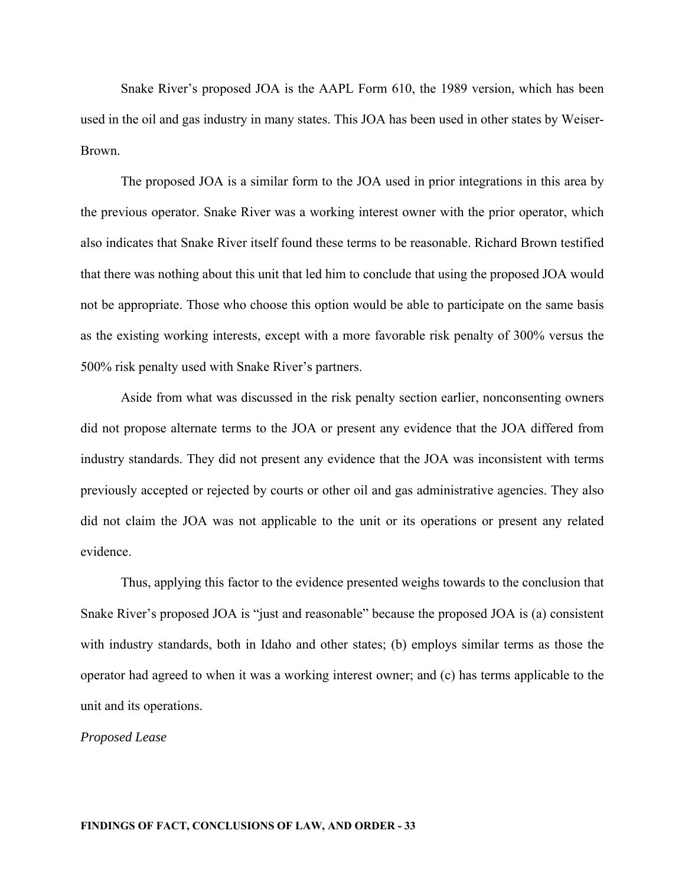Snake River's proposed JOA is the AAPL Form 610, the 1989 version, which has been used in the oil and gas industry in many states. This JOA has been used in other states by Weiser-Brown.

The proposed JOA is a similar form to the JOA used in prior integrations in this area by the previous operator. Snake River was a working interest owner with the prior operator, which also indicates that Snake River itself found these terms to be reasonable. Richard Brown testified that there was nothing about this unit that led him to conclude that using the proposed JOA would not be appropriate. Those who choose this option would be able to participate on the same basis as the existing working interests, except with a more favorable risk penalty of 300% versus the 500% risk penalty used with Snake River's partners.

Aside from what was discussed in the risk penalty section earlier, nonconsenting owners did not propose alternate terms to the JOA or present any evidence that the JOA differed from industry standards. They did not present any evidence that the JOA was inconsistent with terms previously accepted or rejected by courts or other oil and gas administrative agencies. They also did not claim the JOA was not applicable to the unit or its operations or present any related evidence.

Thus, applying this factor to the evidence presented weighs towards to the conclusion that Snake River's proposed JOA is "just and reasonable" because the proposed JOA is (a) consistent with industry standards, both in Idaho and other states; (b) employs similar terms as those the operator had agreed to when it was a working interest owner; and (c) has terms applicable to the unit and its operations.

## *Proposed Lease*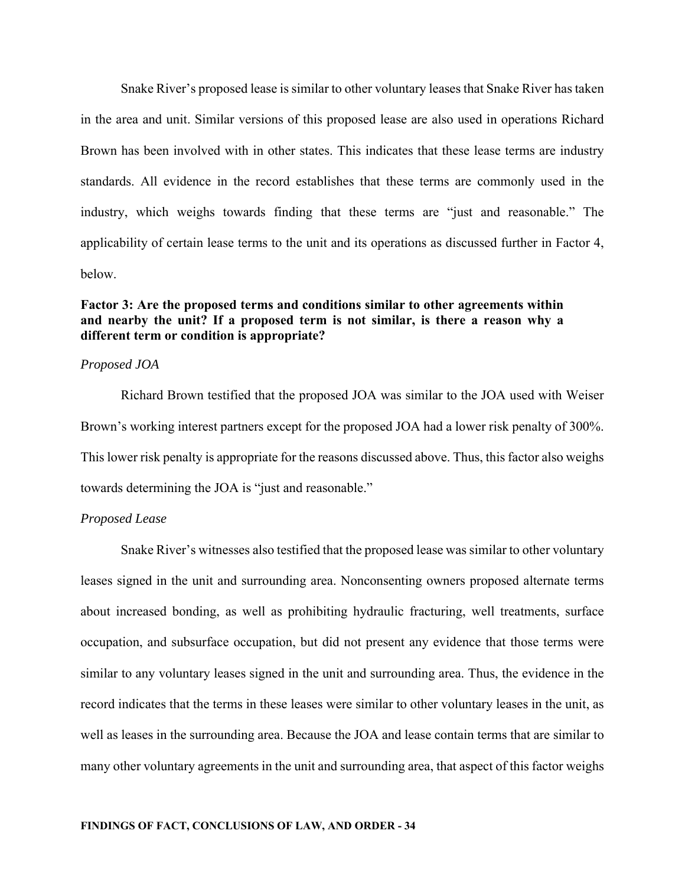Snake River's proposed lease is similar to other voluntary leases that Snake River has taken in the area and unit. Similar versions of this proposed lease are also used in operations Richard Brown has been involved with in other states. This indicates that these lease terms are industry standards. All evidence in the record establishes that these terms are commonly used in the industry, which weighs towards finding that these terms are "just and reasonable." The applicability of certain lease terms to the unit and its operations as discussed further in Factor 4, below.

# **Factor 3: Are the proposed terms and conditions similar to other agreements within and nearby the unit? If a proposed term is not similar, is there a reason why a different term or condition is appropriate?**

## *Proposed JOA*

Richard Brown testified that the proposed JOA was similar to the JOA used with Weiser Brown's working interest partners except for the proposed JOA had a lower risk penalty of 300%. This lower risk penalty is appropriate for the reasons discussed above. Thus, this factor also weighs towards determining the JOA is "just and reasonable."

## *Proposed Lease*

Snake River's witnesses also testified that the proposed lease was similar to other voluntary leases signed in the unit and surrounding area. Nonconsenting owners proposed alternate terms about increased bonding, as well as prohibiting hydraulic fracturing, well treatments, surface occupation, and subsurface occupation, but did not present any evidence that those terms were similar to any voluntary leases signed in the unit and surrounding area. Thus, the evidence in the record indicates that the terms in these leases were similar to other voluntary leases in the unit, as well as leases in the surrounding area. Because the JOA and lease contain terms that are similar to many other voluntary agreements in the unit and surrounding area, that aspect of this factor weighs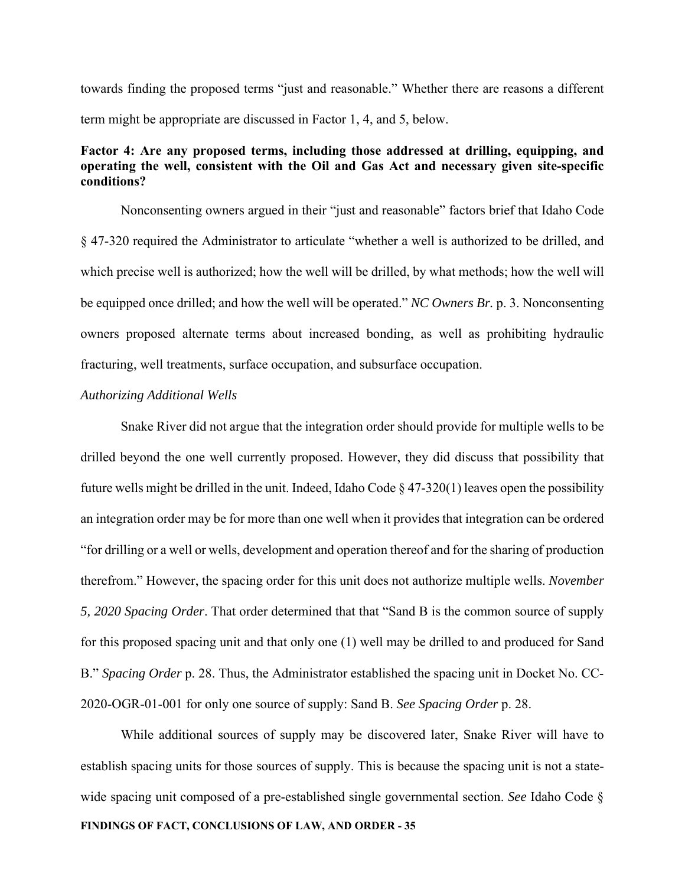towards finding the proposed terms "just and reasonable." Whether there are reasons a different term might be appropriate are discussed in Factor 1, 4, and 5, below.

# **Factor 4: Are any proposed terms, including those addressed at drilling, equipping, and operating the well, consistent with the Oil and Gas Act and necessary given site-specific conditions?**

Nonconsenting owners argued in their "just and reasonable" factors brief that Idaho Code § 47-320 required the Administrator to articulate "whether a well is authorized to be drilled, and which precise well is authorized; how the well will be drilled, by what methods; how the well will be equipped once drilled; and how the well will be operated." *NC Owners Br.* p. 3. Nonconsenting owners proposed alternate terms about increased bonding, as well as prohibiting hydraulic fracturing, well treatments, surface occupation, and subsurface occupation.

## *Authorizing Additional Wells*

Snake River did not argue that the integration order should provide for multiple wells to be drilled beyond the one well currently proposed. However, they did discuss that possibility that future wells might be drilled in the unit. Indeed, Idaho Code  $\S$  47-320(1) leaves open the possibility an integration order may be for more than one well when it provides that integration can be ordered "for drilling or a well or wells, development and operation thereof and for the sharing of production therefrom." However, the spacing order for this unit does not authorize multiple wells. *November 5, 2020 Spacing Order*. That order determined that that "Sand B is the common source of supply for this proposed spacing unit and that only one (1) well may be drilled to and produced for Sand B." *Spacing Order* p. 28. Thus, the Administrator established the spacing unit in Docket No. CC-2020-OGR-01-001 for only one source of supply: Sand B. *See Spacing Order* p. 28.

**FINDINGS OF FACT, CONCLUSIONS OF LAW, AND ORDER - 35**  While additional sources of supply may be discovered later, Snake River will have to establish spacing units for those sources of supply. This is because the spacing unit is not a statewide spacing unit composed of a pre-established single governmental section. *See* Idaho Code §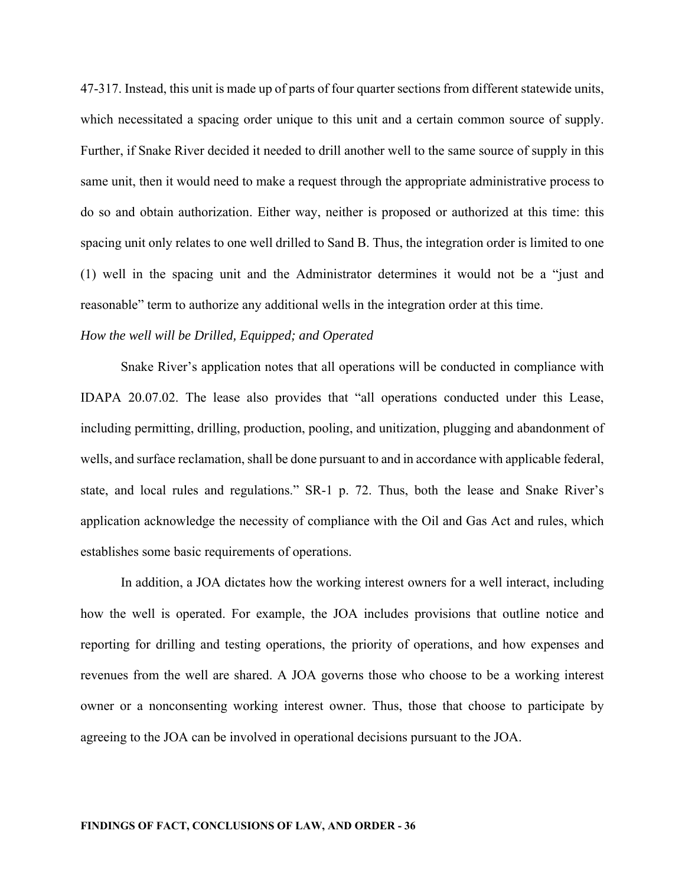47-317. Instead, this unit is made up of parts of four quarter sections from different statewide units, which necessitated a spacing order unique to this unit and a certain common source of supply. Further, if Snake River decided it needed to drill another well to the same source of supply in this same unit, then it would need to make a request through the appropriate administrative process to do so and obtain authorization. Either way, neither is proposed or authorized at this time: this spacing unit only relates to one well drilled to Sand B. Thus, the integration order is limited to one (1) well in the spacing unit and the Administrator determines it would not be a "just and reasonable" term to authorize any additional wells in the integration order at this time.

# *How the well will be Drilled, Equipped; and Operated*

Snake River's application notes that all operations will be conducted in compliance with IDAPA 20.07.02. The lease also provides that "all operations conducted under this Lease, including permitting, drilling, production, pooling, and unitization, plugging and abandonment of wells, and surface reclamation, shall be done pursuant to and in accordance with applicable federal, state, and local rules and regulations." SR-1 p. 72. Thus, both the lease and Snake River's application acknowledge the necessity of compliance with the Oil and Gas Act and rules, which establishes some basic requirements of operations.

In addition, a JOA dictates how the working interest owners for a well interact, including how the well is operated. For example, the JOA includes provisions that outline notice and reporting for drilling and testing operations, the priority of operations, and how expenses and revenues from the well are shared. A JOA governs those who choose to be a working interest owner or a nonconsenting working interest owner. Thus, those that choose to participate by agreeing to the JOA can be involved in operational decisions pursuant to the JOA.

#### **FINDINGS OF FACT, CONCLUSIONS OF LAW, AND ORDER - 36**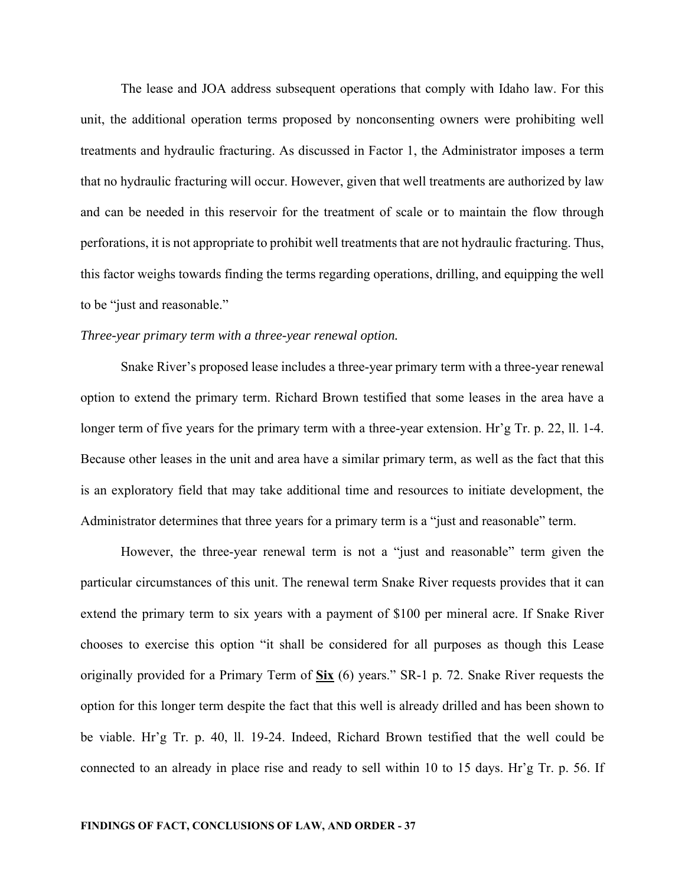The lease and JOA address subsequent operations that comply with Idaho law. For this unit, the additional operation terms proposed by nonconsenting owners were prohibiting well treatments and hydraulic fracturing. As discussed in Factor 1, the Administrator imposes a term that no hydraulic fracturing will occur. However, given that well treatments are authorized by law and can be needed in this reservoir for the treatment of scale or to maintain the flow through perforations, it is not appropriate to prohibit well treatments that are not hydraulic fracturing. Thus, this factor weighs towards finding the terms regarding operations, drilling, and equipping the well to be "just and reasonable."

#### *Three-year primary term with a three-year renewal option.*

Snake River's proposed lease includes a three-year primary term with a three-year renewal option to extend the primary term. Richard Brown testified that some leases in the area have a longer term of five years for the primary term with a three-year extension. Hr'g Tr. p. 22, ll. 1-4. Because other leases in the unit and area have a similar primary term, as well as the fact that this is an exploratory field that may take additional time and resources to initiate development, the Administrator determines that three years for a primary term is a "just and reasonable" term.

However, the three-year renewal term is not a "just and reasonable" term given the particular circumstances of this unit. The renewal term Snake River requests provides that it can extend the primary term to six years with a payment of \$100 per mineral acre. If Snake River chooses to exercise this option "it shall be considered for all purposes as though this Lease originally provided for a Primary Term of **Six** (6) years." SR-1 p. 72. Snake River requests the option for this longer term despite the fact that this well is already drilled and has been shown to be viable. Hr'g Tr. p. 40, ll. 19-24. Indeed, Richard Brown testified that the well could be connected to an already in place rise and ready to sell within 10 to 15 days. Hr'g Tr. p. 56. If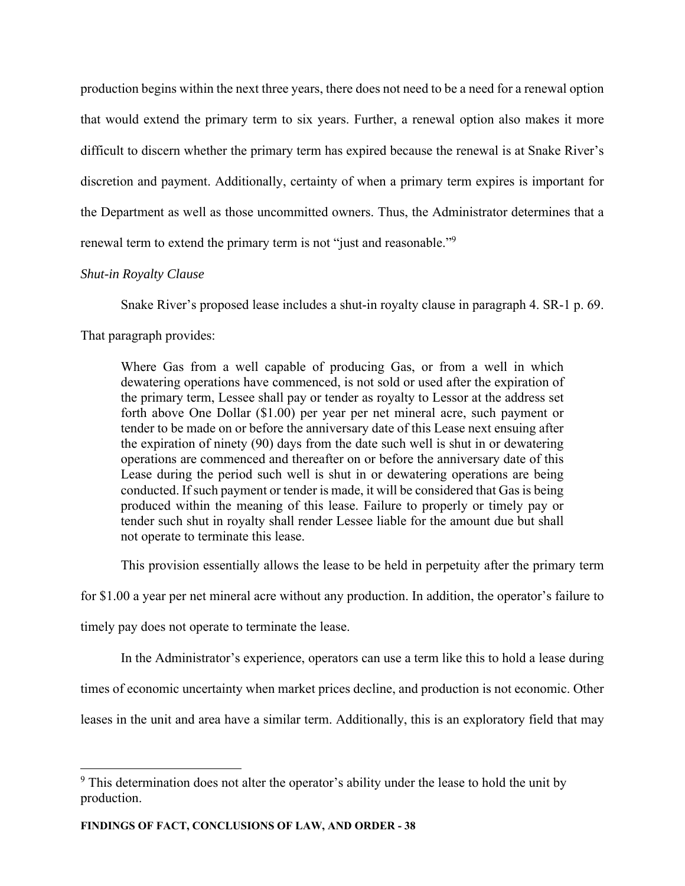production begins within the next three years, there does not need to be a need for a renewal option that would extend the primary term to six years. Further, a renewal option also makes it more difficult to discern whether the primary term has expired because the renewal is at Snake River's discretion and payment. Additionally, certainty of when a primary term expires is important for the Department as well as those uncommitted owners. Thus, the Administrator determines that a renewal term to extend the primary term is not "just and reasonable."<sup>9</sup>

# *Shut-in Royalty Clause*

Snake River's proposed lease includes a shut-in royalty clause in paragraph 4. SR-1 p. 69.

That paragraph provides:

Where Gas from a well capable of producing Gas, or from a well in which dewatering operations have commenced, is not sold or used after the expiration of the primary term, Lessee shall pay or tender as royalty to Lessor at the address set forth above One Dollar (\$1.00) per year per net mineral acre, such payment or tender to be made on or before the anniversary date of this Lease next ensuing after the expiration of ninety (90) days from the date such well is shut in or dewatering operations are commenced and thereafter on or before the anniversary date of this Lease during the period such well is shut in or dewatering operations are being conducted. If such payment or tender is made, it will be considered that Gas is being produced within the meaning of this lease. Failure to properly or timely pay or tender such shut in royalty shall render Lessee liable for the amount due but shall not operate to terminate this lease.

This provision essentially allows the lease to be held in perpetuity after the primary term

for \$1.00 a year per net mineral acre without any production. In addition, the operator's failure to

timely pay does not operate to terminate the lease.

In the Administrator's experience, operators can use a term like this to hold a lease during

times of economic uncertainty when market prices decline, and production is not economic. Other

leases in the unit and area have a similar term. Additionally, this is an exploratory field that may

 $9$  This determination does not alter the operator's ability under the lease to hold the unit by production.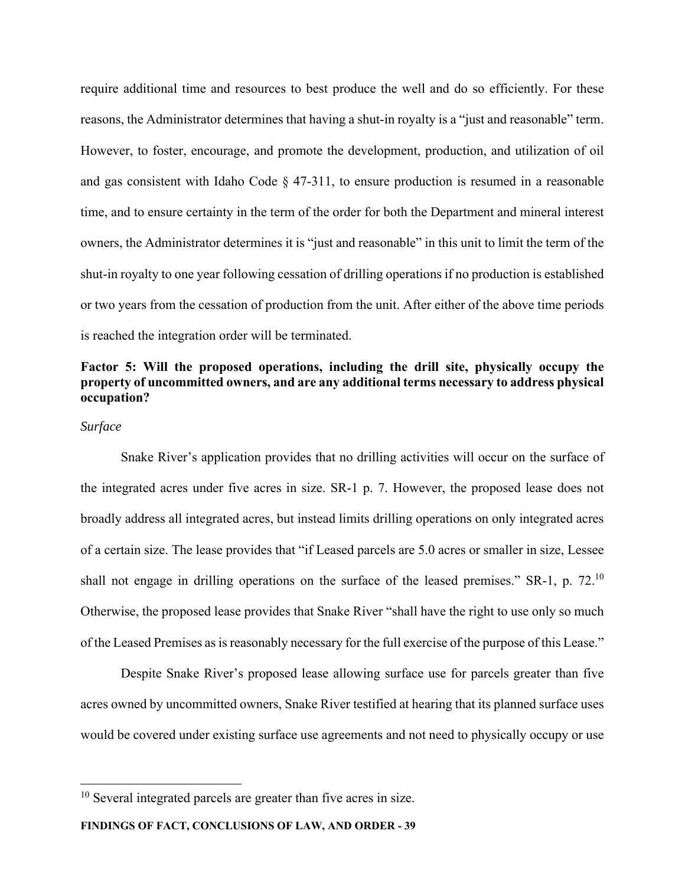require additional time and resources to best produce the well and do so efficiently. For these reasons, the Administrator determines that having a shut-in royalty is a "just and reasonable" term. However, to foster, encourage, and promote the development, production, and utilization of oil and gas consistent with Idaho Code § 47-311, to ensure production is resumed in a reasonable time, and to ensure certainty in the term of the order for both the Department and mineral interest owners, the Administrator determines it is "just and reasonable" in this unit to limit the term of the shut-in royalty to one year following cessation of drilling operations if no production is established or two years from the cessation of production from the unit. After either of the above time periods is reached the integration order will be terminated.

# **Factor 5: Will the proposed operations, including the drill site, physically occupy the property of uncommitted owners, and are any additional terms necessary to address physical occupation?**

## *Surface*

Snake River's application provides that no drilling activities will occur on the surface of the integrated acres under five acres in size. SR-1 p. 7. However, the proposed lease does not broadly address all integrated acres, but instead limits drilling operations on only integrated acres of a certain size. The lease provides that "if Leased parcels are 5.0 acres or smaller in size, Lessee shall not engage in drilling operations on the surface of the leased premises." SR-1, p. 72.<sup>10</sup> Otherwise, the proposed lease provides that Snake River "shall have the right to use only so much of the Leased Premises as is reasonably necessary for the full exercise of the purpose of this Lease."

Despite Snake River's proposed lease allowing surface use for parcels greater than five acres owned by uncommitted owners, Snake River testified at hearing that its planned surface uses would be covered under existing surface use agreements and not need to physically occupy or use

**FINDINGS OF FACT, CONCLUSIONS OF LAW, AND ORDER - 39** 

 $10$  Several integrated parcels are greater than five acres in size.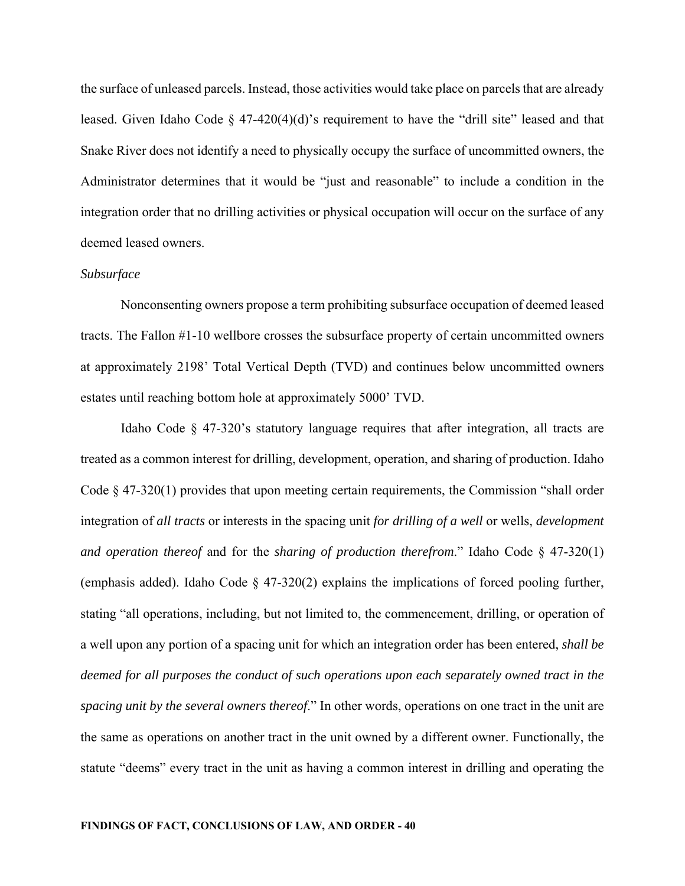the surface of unleased parcels. Instead, those activities would take place on parcels that are already leased. Given Idaho Code  $\S$  47-420(4)(d)'s requirement to have the "drill site" leased and that Snake River does not identify a need to physically occupy the surface of uncommitted owners, the Administrator determines that it would be "just and reasonable" to include a condition in the integration order that no drilling activities or physical occupation will occur on the surface of any deemed leased owners.

#### *Subsurface*

Nonconsenting owners propose a term prohibiting subsurface occupation of deemed leased tracts. The Fallon #1-10 wellbore crosses the subsurface property of certain uncommitted owners at approximately 2198' Total Vertical Depth (TVD) and continues below uncommitted owners estates until reaching bottom hole at approximately 5000' TVD.

Idaho Code § 47-320's statutory language requires that after integration, all tracts are treated as a common interest for drilling, development, operation, and sharing of production. Idaho Code  $\S$  47-320(1) provides that upon meeting certain requirements, the Commission "shall order integration of *all tracts* or interests in the spacing unit *for drilling of a well* or wells, *development and operation thereof* and for the *sharing of production therefrom*." Idaho Code § 47-320(1) (emphasis added). Idaho Code § 47-320(2) explains the implications of forced pooling further, stating "all operations, including, but not limited to, the commencement, drilling, or operation of a well upon any portion of a spacing unit for which an integration order has been entered, *shall be deemed for all purposes the conduct of such operations upon each separately owned tract in the spacing unit by the several owners thereof*." In other words, operations on one tract in the unit are the same as operations on another tract in the unit owned by a different owner. Functionally, the statute "deems" every tract in the unit as having a common interest in drilling and operating the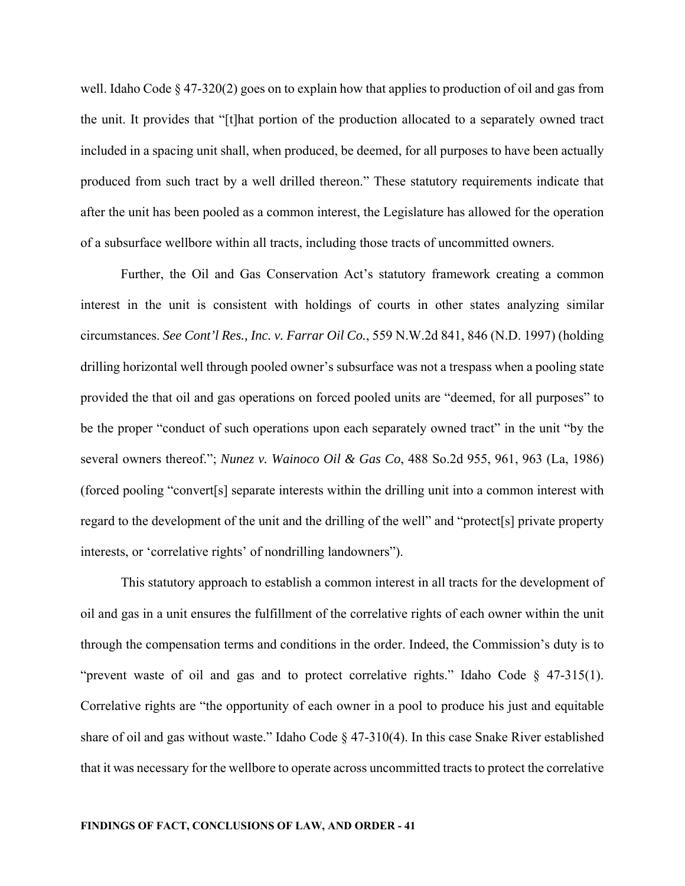well. Idaho Code § 47-320(2) goes on to explain how that applies to production of oil and gas from the unit. It provides that "[t]hat portion of the production allocated to a separately owned tract included in a spacing unit shall, when produced, be deemed, for all purposes to have been actually produced from such tract by a well drilled thereon." These statutory requirements indicate that after the unit has been pooled as a common interest, the Legislature has allowed for the operation of a subsurface wellbore within all tracts, including those tracts of uncommitted owners.

Further, the Oil and Gas Conservation Act's statutory framework creating a common interest in the unit is consistent with holdings of courts in other states analyzing similar circumstances. *See Cont'l Res., Inc. v. Farrar Oil Co.*, 559 N.W.2d 841, 846 (N.D. 1997) (holding drilling horizontal well through pooled owner's subsurface was not a trespass when a pooling state provided the that oil and gas operations on forced pooled units are "deemed, for all purposes" to be the proper "conduct of such operations upon each separately owned tract" in the unit "by the several owners thereof."; *Nunez v. Wainoco Oil & Gas Co*, 488 So.2d 955, 961, 963 (La, 1986) (forced pooling "convert[s] separate interests within the drilling unit into a common interest with regard to the development of the unit and the drilling of the well" and "protect[s] private property interests, or 'correlative rights' of nondrilling landowners").

This statutory approach to establish a common interest in all tracts for the development of oil and gas in a unit ensures the fulfillment of the correlative rights of each owner within the unit through the compensation terms and conditions in the order. Indeed, the Commission's duty is to "prevent waste of oil and gas and to protect correlative rights." Idaho Code § 47-315(1). Correlative rights are "the opportunity of each owner in a pool to produce his just and equitable share of oil and gas without waste." Idaho Code § 47-310(4). In this case Snake River established that it was necessary for the wellbore to operate across uncommitted tracts to protect the correlative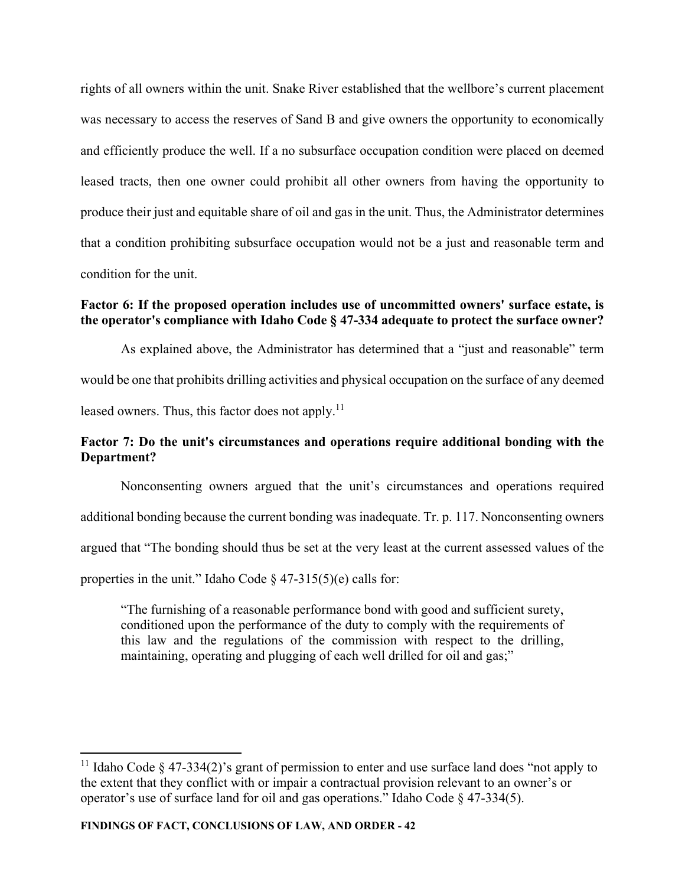rights of all owners within the unit. Snake River established that the wellbore's current placement was necessary to access the reserves of Sand B and give owners the opportunity to economically and efficiently produce the well. If a no subsurface occupation condition were placed on deemed leased tracts, then one owner could prohibit all other owners from having the opportunity to produce their just and equitable share of oil and gas in the unit. Thus, the Administrator determines that a condition prohibiting subsurface occupation would not be a just and reasonable term and condition for the unit.

# **Factor 6: If the proposed operation includes use of uncommitted owners' surface estate, is the operator's compliance with Idaho Code § 47-334 adequate to protect the surface owner?**

As explained above, the Administrator has determined that a "just and reasonable" term would be one that prohibits drilling activities and physical occupation on the surface of any deemed leased owners. Thus, this factor does not apply. $^{11}$ 

# **Factor 7: Do the unit's circumstances and operations require additional bonding with the Department?**

Nonconsenting owners argued that the unit's circumstances and operations required additional bonding because the current bonding was inadequate. Tr. p. 117. Nonconsenting owners argued that "The bonding should thus be set at the very least at the current assessed values of the properties in the unit." Idaho Code  $\S$  47-315(5)(e) calls for:

"The furnishing of a reasonable performance bond with good and sufficient surety, conditioned upon the performance of the duty to comply with the requirements of this law and the regulations of the commission with respect to the drilling, maintaining, operating and plugging of each well drilled for oil and gas;"

<sup>&</sup>lt;sup>11</sup> Idaho Code § 47-334(2)'s grant of permission to enter and use surface land does "not apply to the extent that they conflict with or impair a contractual provision relevant to an owner's or operator's use of surface land for oil and gas operations." Idaho Code § 47-334(5).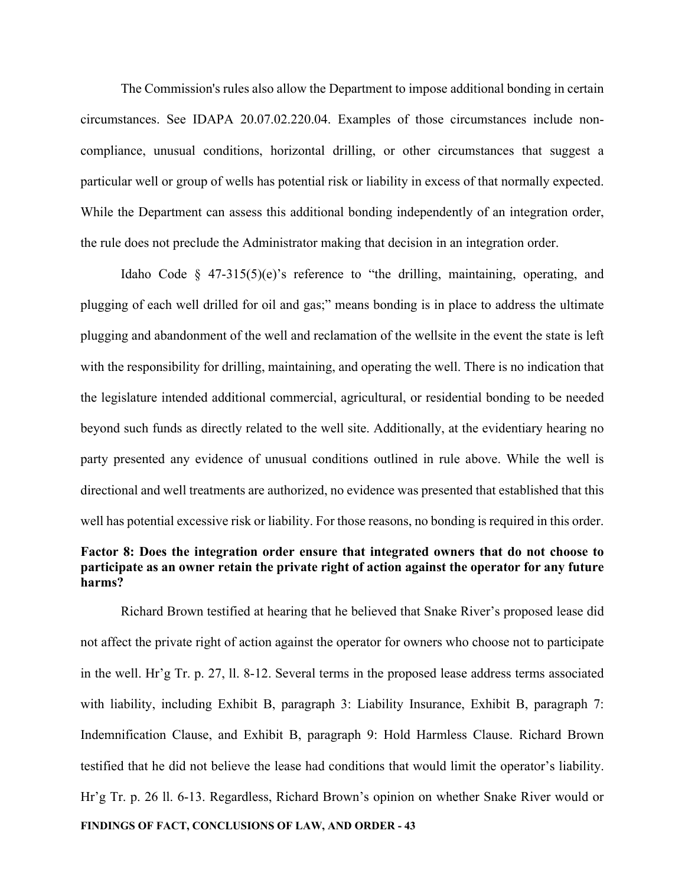The Commission's rules also allow the Department to impose additional bonding in certain circumstances. See IDAPA 20.07.02.220.04. Examples of those circumstances include noncompliance, unusual conditions, horizontal drilling, or other circumstances that suggest a particular well or group of wells has potential risk or liability in excess of that normally expected. While the Department can assess this additional bonding independently of an integration order, the rule does not preclude the Administrator making that decision in an integration order.

Idaho Code  $\S$  47-315(5)(e)'s reference to "the drilling, maintaining, operating, and plugging of each well drilled for oil and gas;" means bonding is in place to address the ultimate plugging and abandonment of the well and reclamation of the wellsite in the event the state is left with the responsibility for drilling, maintaining, and operating the well. There is no indication that the legislature intended additional commercial, agricultural, or residential bonding to be needed beyond such funds as directly related to the well site. Additionally, at the evidentiary hearing no party presented any evidence of unusual conditions outlined in rule above. While the well is directional and well treatments are authorized, no evidence was presented that established that this well has potential excessive risk or liability. For those reasons, no bonding is required in this order.

# **Factor 8: Does the integration order ensure that integrated owners that do not choose to participate as an owner retain the private right of action against the operator for any future harms?**

**FINDINGS OF FACT, CONCLUSIONS OF LAW, AND ORDER - 43**  Richard Brown testified at hearing that he believed that Snake River's proposed lease did not affect the private right of action against the operator for owners who choose not to participate in the well. Hr'g Tr. p. 27, ll. 8-12. Several terms in the proposed lease address terms associated with liability, including Exhibit B, paragraph 3: Liability Insurance, Exhibit B, paragraph 7: Indemnification Clause, and Exhibit B, paragraph 9: Hold Harmless Clause. Richard Brown testified that he did not believe the lease had conditions that would limit the operator's liability. Hr'g Tr. p. 26 ll. 6-13. Regardless, Richard Brown's opinion on whether Snake River would or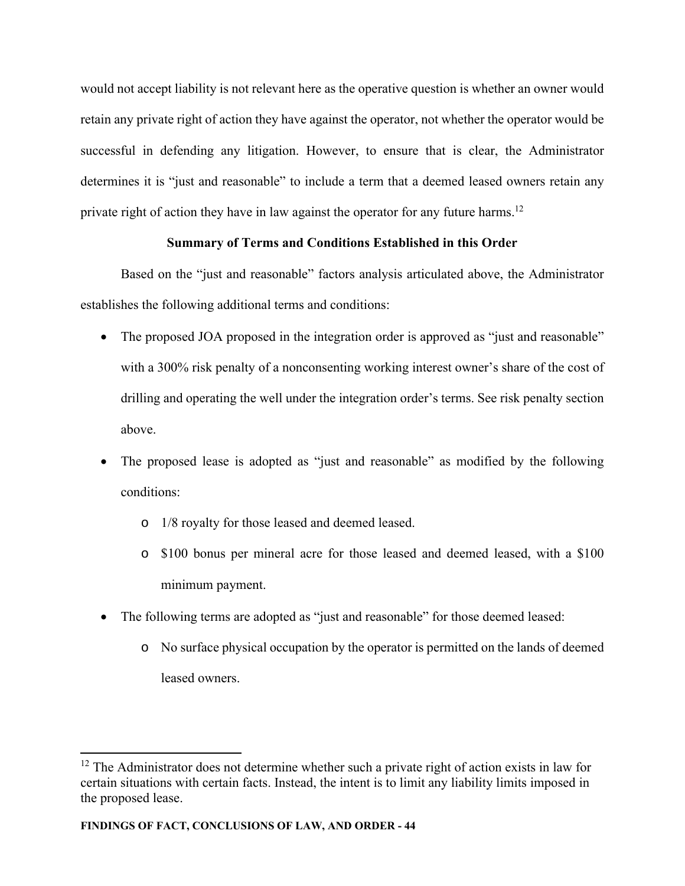would not accept liability is not relevant here as the operative question is whether an owner would retain any private right of action they have against the operator, not whether the operator would be successful in defending any litigation. However, to ensure that is clear, the Administrator determines it is "just and reasonable" to include a term that a deemed leased owners retain any private right of action they have in law against the operator for any future harms.<sup>12</sup>

# **Summary of Terms and Conditions Established in this Order**

Based on the "just and reasonable" factors analysis articulated above, the Administrator establishes the following additional terms and conditions:

- The proposed JOA proposed in the integration order is approved as "just and reasonable" with a 300% risk penalty of a nonconsenting working interest owner's share of the cost of drilling and operating the well under the integration order's terms. See risk penalty section above.
- The proposed lease is adopted as "just and reasonable" as modified by the following conditions:
	- o 1/8 royalty for those leased and deemed leased.
	- o \$100 bonus per mineral acre for those leased and deemed leased, with a \$100 minimum payment.
- The following terms are adopted as "just and reasonable" for those deemed leased:
	- o No surface physical occupation by the operator is permitted on the lands of deemed leased owners.

 $12$  The Administrator does not determine whether such a private right of action exists in law for certain situations with certain facts. Instead, the intent is to limit any liability limits imposed in the proposed lease.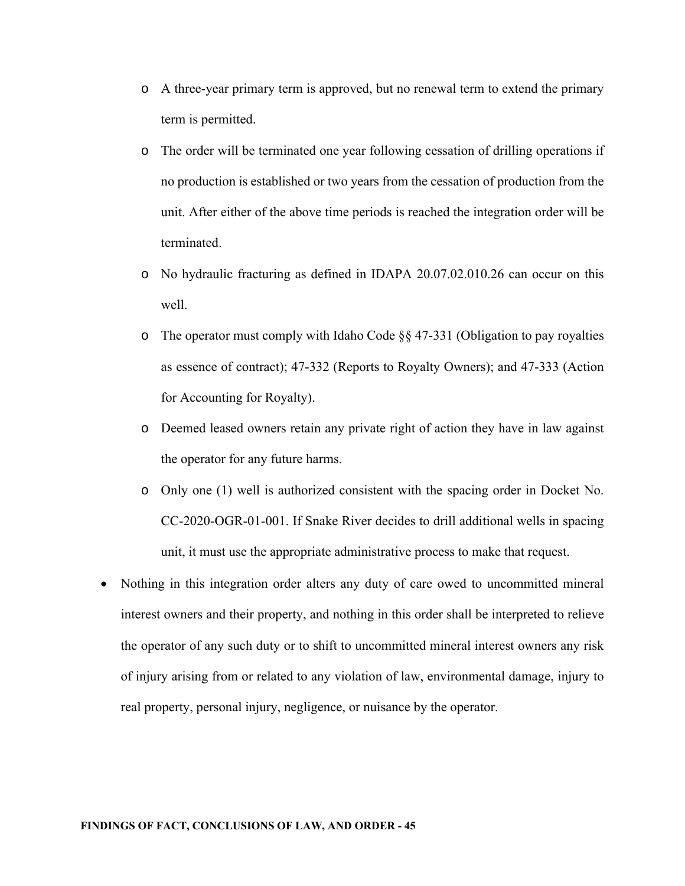- o A three-year primary term is approved, but no renewal term to extend the primary term is permitted.
- o The order will be terminated one year following cessation of drilling operations if no production is established or two years from the cessation of production from the unit. After either of the above time periods is reached the integration order will be terminated.
- o No hydraulic fracturing as defined in IDAPA 20.07.02.010.26 can occur on this well.
- o The operator must comply with Idaho Code §§ 47-331 (Obligation to pay royalties as essence of contract); 47-332 (Reports to Royalty Owners); and 47-333 (Action for Accounting for Royalty).
- o Deemed leased owners retain any private right of action they have in law against the operator for any future harms.
- o Only one (1) well is authorized consistent with the spacing order in Docket No. CC-2020-OGR-01-001. If Snake River decides to drill additional wells in spacing unit, it must use the appropriate administrative process to make that request.
- Nothing in this integration order alters any duty of care owed to uncommitted mineral interest owners and their property, and nothing in this order shall be interpreted to relieve the operator of any such duty or to shift to uncommitted mineral interest owners any risk of injury arising from or related to any violation of law, environmental damage, injury to real property, personal injury, negligence, or nuisance by the operator.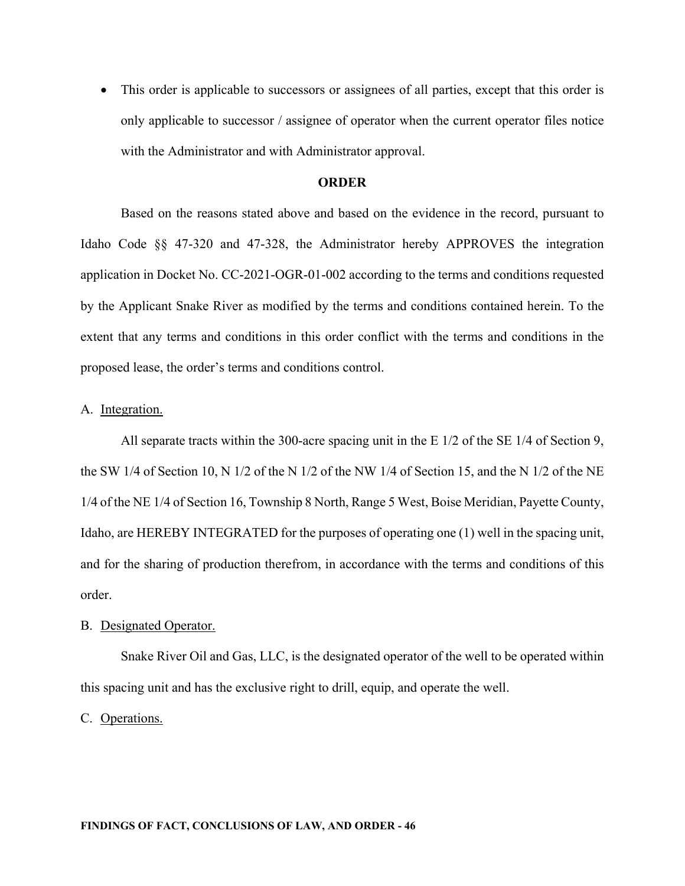This order is applicable to successors or assignees of all parties, except that this order is only applicable to successor / assignee of operator when the current operator files notice with the Administrator and with Administrator approval.

#### **ORDER**

 Based on the reasons stated above and based on the evidence in the record, pursuant to Idaho Code §§ 47-320 and 47-328, the Administrator hereby APPROVES the integration application in Docket No. CC-2021-OGR-01-002 according to the terms and conditions requested by the Applicant Snake River as modified by the terms and conditions contained herein. To the extent that any terms and conditions in this order conflict with the terms and conditions in the proposed lease, the order's terms and conditions control.

## A. Integration.

All separate tracts within the 300-acre spacing unit in the E 1/2 of the SE 1/4 of Section 9, the SW 1/4 of Section 10, N 1/2 of the N 1/2 of the NW 1/4 of Section 15, and the N 1/2 of the NE 1/4 of the NE 1/4 of Section 16, Township 8 North, Range 5 West, Boise Meridian, Payette County, Idaho, are HEREBY INTEGRATED for the purposes of operating one (1) well in the spacing unit, and for the sharing of production therefrom, in accordance with the terms and conditions of this order.

#### B. Designated Operator.

Snake River Oil and Gas, LLC, is the designated operator of the well to be operated within this spacing unit and has the exclusive right to drill, equip, and operate the well.

C. Operations.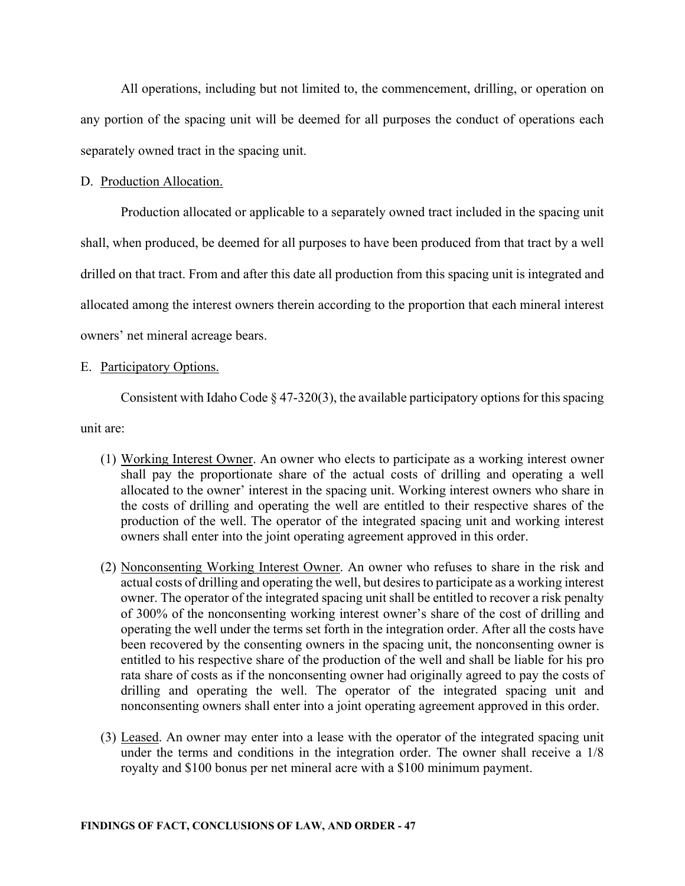All operations, including but not limited to, the commencement, drilling, or operation on any portion of the spacing unit will be deemed for all purposes the conduct of operations each separately owned tract in the spacing unit.

### D. Production Allocation.

Production allocated or applicable to a separately owned tract included in the spacing unit shall, when produced, be deemed for all purposes to have been produced from that tract by a well drilled on that tract. From and after this date all production from this spacing unit is integrated and allocated among the interest owners therein according to the proportion that each mineral interest owners' net mineral acreage bears.

## E. Participatory Options.

Consistent with Idaho Code § 47-320(3), the available participatory options for this spacing

unit are:

- (1) Working Interest Owner. An owner who elects to participate as a working interest owner shall pay the proportionate share of the actual costs of drilling and operating a well allocated to the owner' interest in the spacing unit. Working interest owners who share in the costs of drilling and operating the well are entitled to their respective shares of the production of the well. The operator of the integrated spacing unit and working interest owners shall enter into the joint operating agreement approved in this order.
- (2) Nonconsenting Working Interest Owner. An owner who refuses to share in the risk and actual costs of drilling and operating the well, but desires to participate as a working interest owner. The operator of the integrated spacing unit shall be entitled to recover a risk penalty of 300% of the nonconsenting working interest owner's share of the cost of drilling and operating the well under the terms set forth in the integration order. After all the costs have been recovered by the consenting owners in the spacing unit, the nonconsenting owner is entitled to his respective share of the production of the well and shall be liable for his pro rata share of costs as if the nonconsenting owner had originally agreed to pay the costs of drilling and operating the well. The operator of the integrated spacing unit and nonconsenting owners shall enter into a joint operating agreement approved in this order.
- (3) Leased. An owner may enter into a lease with the operator of the integrated spacing unit under the terms and conditions in the integration order. The owner shall receive a 1/8 royalty and \$100 bonus per net mineral acre with a \$100 minimum payment.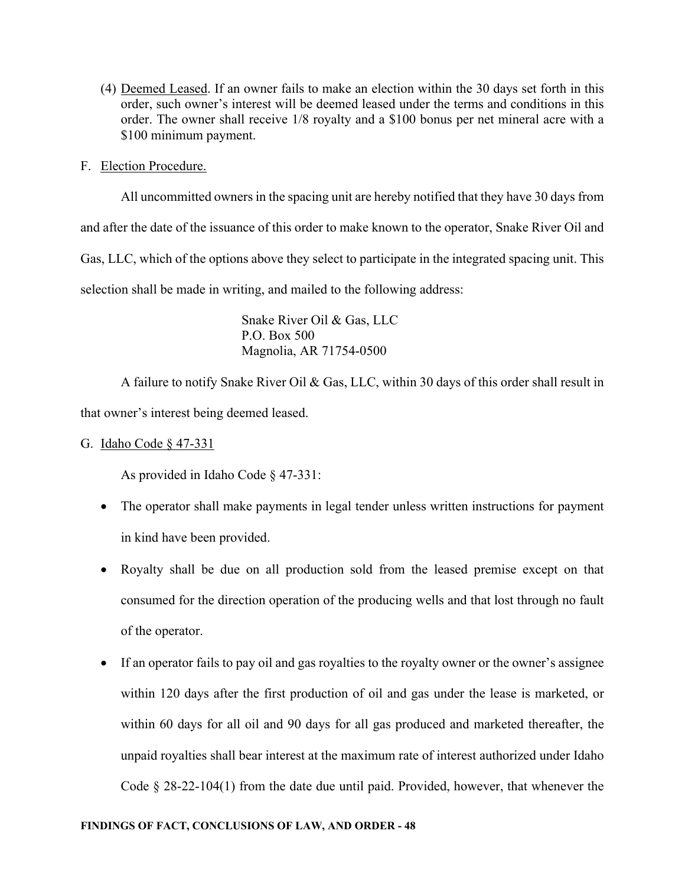- (4) Deemed Leased. If an owner fails to make an election within the 30 days set forth in this order, such owner's interest will be deemed leased under the terms and conditions in this order. The owner shall receive 1/8 royalty and a \$100 bonus per net mineral acre with a \$100 minimum payment.
- F. Election Procedure.

All uncommitted owners in the spacing unit are hereby notified that they have 30 days from and after the date of the issuance of this order to make known to the operator, Snake River Oil and Gas, LLC, which of the options above they select to participate in the integrated spacing unit. This selection shall be made in writing, and mailed to the following address:

> Snake River Oil & Gas, LLC P.O. Box 500 Magnolia, AR 71754-0500

A failure to notify Snake River Oil & Gas, LLC, within 30 days of this order shall result in that owner's interest being deemed leased.

G. Idaho Code § 47-331

As provided in Idaho Code § 47-331:

- The operator shall make payments in legal tender unless written instructions for payment in kind have been provided.
- Royalty shall be due on all production sold from the leased premise except on that consumed for the direction operation of the producing wells and that lost through no fault of the operator.
- If an operator fails to pay oil and gas royalties to the royalty owner or the owner's assignee within 120 days after the first production of oil and gas under the lease is marketed, or within 60 days for all oil and 90 days for all gas produced and marketed thereafter, the unpaid royalties shall bear interest at the maximum rate of interest authorized under Idaho Code § 28-22-104(1) from the date due until paid. Provided, however, that whenever the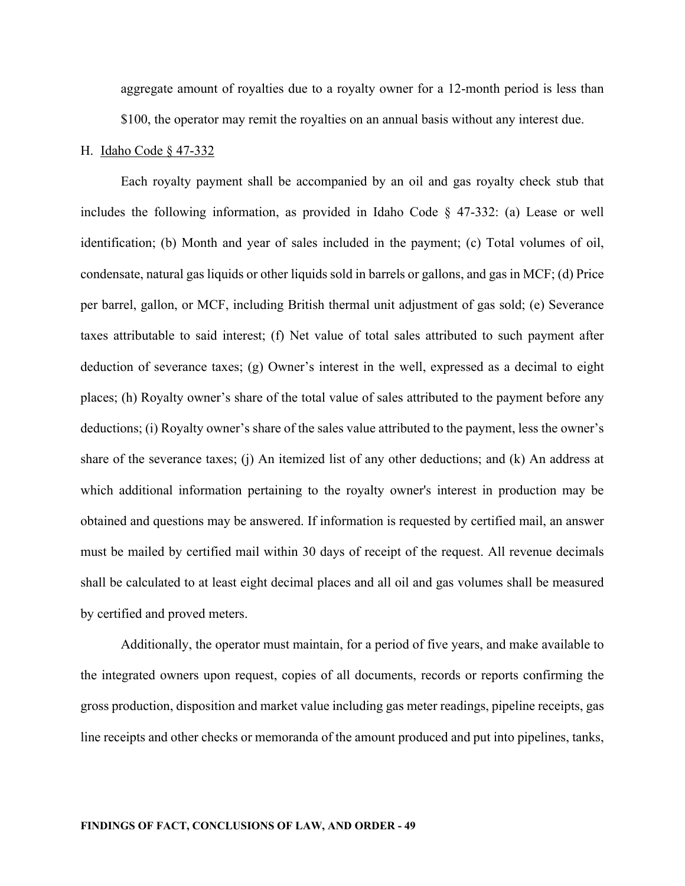aggregate amount of royalties due to a royalty owner for a 12-month period is less than \$100, the operator may remit the royalties on an annual basis without any interest due.

#### H. Idaho Code § 47-332

Each royalty payment shall be accompanied by an oil and gas royalty check stub that includes the following information, as provided in Idaho Code § 47-332: (a) Lease or well identification; (b) Month and year of sales included in the payment; (c) Total volumes of oil, condensate, natural gas liquids or other liquids sold in barrels or gallons, and gas in MCF; (d) Price per barrel, gallon, or MCF, including British thermal unit adjustment of gas sold; (e) Severance taxes attributable to said interest; (f) Net value of total sales attributed to such payment after deduction of severance taxes; (g) Owner's interest in the well, expressed as a decimal to eight places; (h) Royalty owner's share of the total value of sales attributed to the payment before any deductions; (i) Royalty owner's share of the sales value attributed to the payment, less the owner's share of the severance taxes; (j) An itemized list of any other deductions; and (k) An address at which additional information pertaining to the royalty owner's interest in production may be obtained and questions may be answered. If information is requested by certified mail, an answer must be mailed by certified mail within 30 days of receipt of the request. All revenue decimals shall be calculated to at least eight decimal places and all oil and gas volumes shall be measured by certified and proved meters.

Additionally, the operator must maintain, for a period of five years, and make available to the integrated owners upon request, copies of all documents, records or reports confirming the gross production, disposition and market value including gas meter readings, pipeline receipts, gas line receipts and other checks or memoranda of the amount produced and put into pipelines, tanks,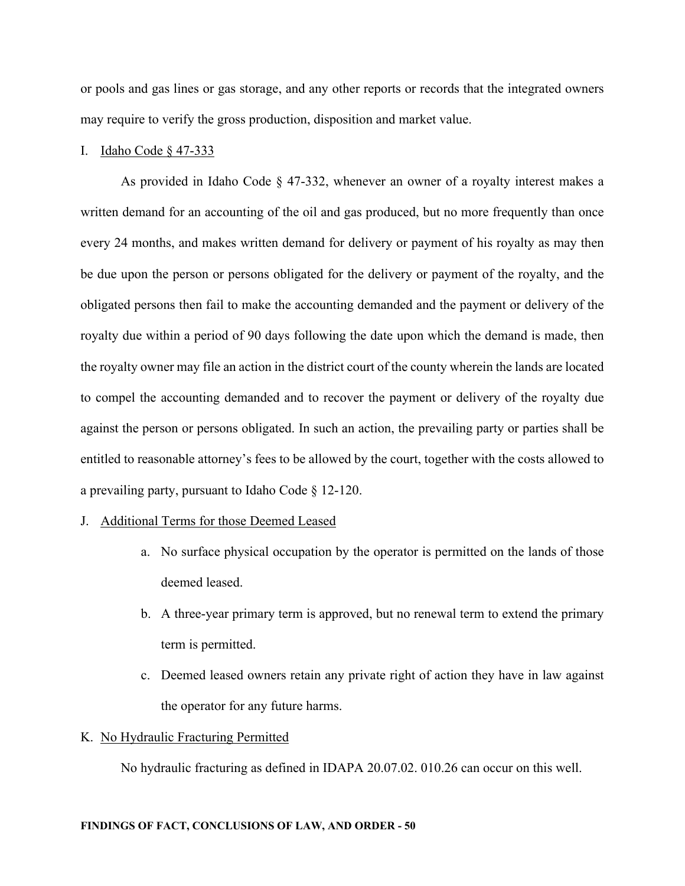or pools and gas lines or gas storage, and any other reports or records that the integrated owners may require to verify the gross production, disposition and market value.

#### I. Idaho Code § 47-333

As provided in Idaho Code § 47-332, whenever an owner of a royalty interest makes a written demand for an accounting of the oil and gas produced, but no more frequently than once every 24 months, and makes written demand for delivery or payment of his royalty as may then be due upon the person or persons obligated for the delivery or payment of the royalty, and the obligated persons then fail to make the accounting demanded and the payment or delivery of the royalty due within a period of 90 days following the date upon which the demand is made, then the royalty owner may file an action in the district court of the county wherein the lands are located to compel the accounting demanded and to recover the payment or delivery of the royalty due against the person or persons obligated. In such an action, the prevailing party or parties shall be entitled to reasonable attorney's fees to be allowed by the court, together with the costs allowed to a prevailing party, pursuant to Idaho Code § 12-120.

### J. Additional Terms for those Deemed Leased

- a. No surface physical occupation by the operator is permitted on the lands of those deemed leased.
- b. A three-year primary term is approved, but no renewal term to extend the primary term is permitted.
- c. Deemed leased owners retain any private right of action they have in law against the operator for any future harms.

## K. No Hydraulic Fracturing Permitted

No hydraulic fracturing as defined in IDAPA 20.07.02. 010.26 can occur on this well.

#### **FINDINGS OF FACT, CONCLUSIONS OF LAW, AND ORDER - 50**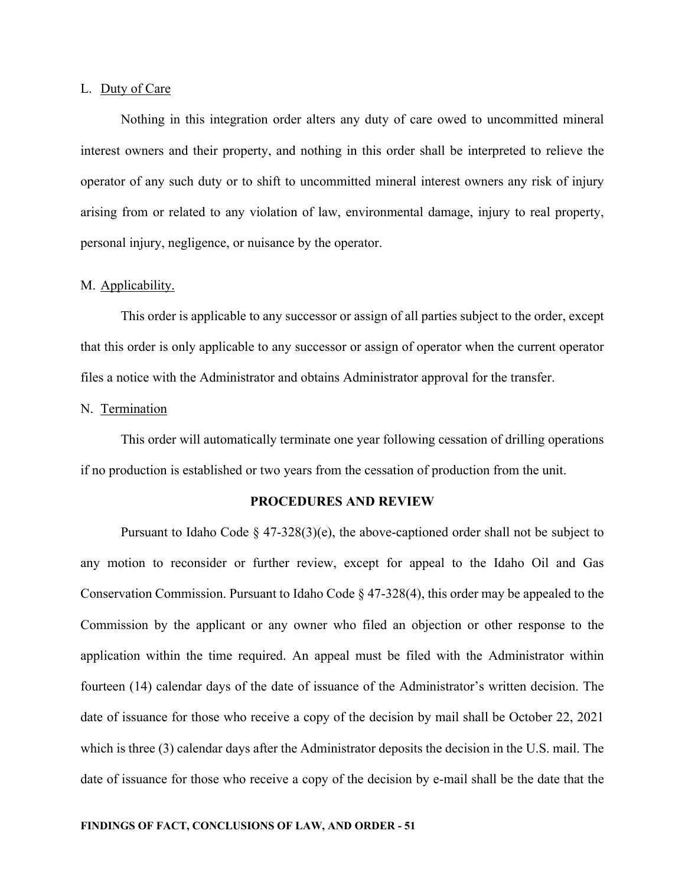#### L. Duty of Care

Nothing in this integration order alters any duty of care owed to uncommitted mineral interest owners and their property, and nothing in this order shall be interpreted to relieve the operator of any such duty or to shift to uncommitted mineral interest owners any risk of injury arising from or related to any violation of law, environmental damage, injury to real property, personal injury, negligence, or nuisance by the operator.

## M. Applicability.

This order is applicable to any successor or assign of all parties subject to the order, except that this order is only applicable to any successor or assign of operator when the current operator files a notice with the Administrator and obtains Administrator approval for the transfer.

## N. Termination

This order will automatically terminate one year following cessation of drilling operations if no production is established or two years from the cessation of production from the unit.

# **PROCEDURES AND REVIEW**

Pursuant to Idaho Code  $\S$  47-328(3)(e), the above-captioned order shall not be subject to any motion to reconsider or further review, except for appeal to the Idaho Oil and Gas Conservation Commission. Pursuant to Idaho Code § 47-328(4), this order may be appealed to the Commission by the applicant or any owner who filed an objection or other response to the application within the time required. An appeal must be filed with the Administrator within fourteen (14) calendar days of the date of issuance of the Administrator's written decision. The date of issuance for those who receive a copy of the decision by mail shall be October 22, 2021 which is three (3) calendar days after the Administrator deposits the decision in the U.S. mail. The date of issuance for those who receive a copy of the decision by e-mail shall be the date that the

#### **FINDINGS OF FACT, CONCLUSIONS OF LAW, AND ORDER - 51**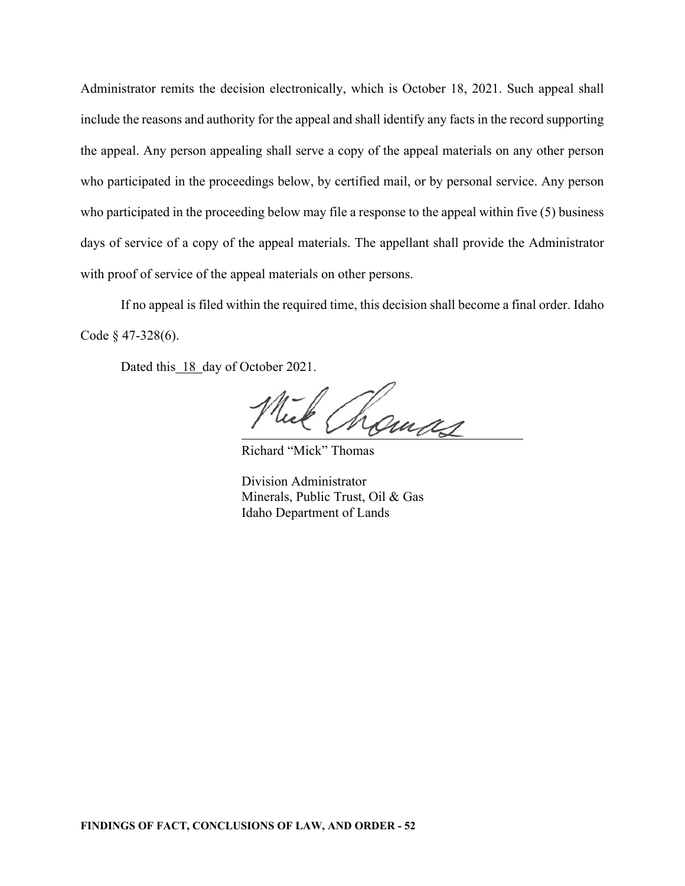Administrator remits the decision electronically, which is October 18, 2021. Such appeal shall include the reasons and authority for the appeal and shall identify any facts in the record supporting the appeal. Any person appealing shall serve a copy of the appeal materials on any other person who participated in the proceedings below, by certified mail, or by personal service. Any person who participated in the proceeding below may file a response to the appeal within five (5) business days of service of a copy of the appeal materials. The appellant shall provide the Administrator with proof of service of the appeal materials on other persons.

If no appeal is filed within the required time, this decision shall become a final order. Idaho Code § 47-328(6).

Dated this 18 day of October 2021.

Lomas

Richard "Mick" Thomas

Division Administrator Minerals, Public Trust, Oil & Gas Idaho Department of Lands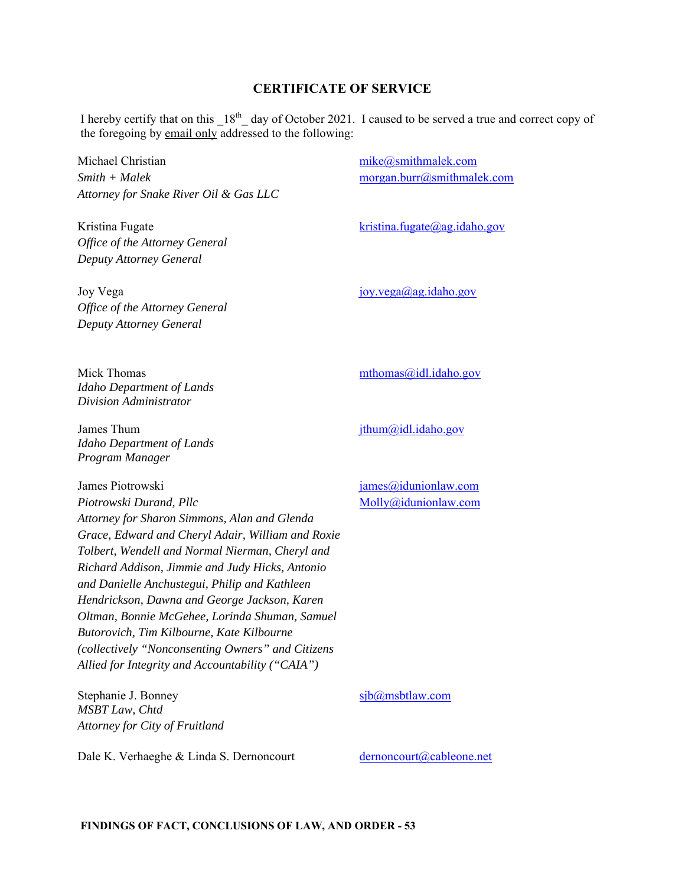# **CERTIFICATE OF SERVICE**

I hereby certify that on this  $18<sup>th</sup>$  day of October 2021. I caused to be served a true and correct copy of the foregoing by email only addressed to the following:

Michael Christian *Smith + Malek Attorney for Snake River Oil & Gas LLC* 

Kristina Fugate *Office of the Attorney General Deputy Attorney General* 

mike@smithmalek.com morgan.burr@smithmalek.com

kristina.fugate@ag.idaho.gov

joy.vega@ag.idaho.gov

mthomas@idl.idaho.gov

jthum@idl.idaho.gov

Joy Vega *Office of the Attorney General Deputy Attorney General* 

Mick Thomas *Idaho Department of Lands Division Administrator* 

James Thum *Idaho Department of Lands Program Manager* 

James Piotrowski

*Piotrowski Durand, Pllc Attorney for Sharon Simmons, Alan and Glenda Grace, Edward and Cheryl Adair, William and Roxie Tolbert, Wendell and Normal Nierman, Cheryl and Richard Addison, Jimmie and Judy Hicks, Antonio and Danielle Anchustegui, Philip and Kathleen Hendrickson, Dawna and George Jackson, Karen Oltman, Bonnie McGehee, Lorinda Shuman, Samuel Butorovich, Tim Kilbourne, Kate Kilbourne (collectively "Nonconsenting Owners" and Citizens Allied for Integrity and Accountability ("CAIA")* 

Stephanie J. Bonney *MSBT Law, Chtd Attorney for City of Fruitland* 

Dale K. Verhaeghe & Linda S. Dernoncourt dernoncourt dernoncourt decable one.net

james@idunionlaw.com Molly@idunionlaw.com

sjb@msbtlaw.com

**FINDINGS OF FACT, CONCLUSIONS OF LAW, AND ORDER - 53**